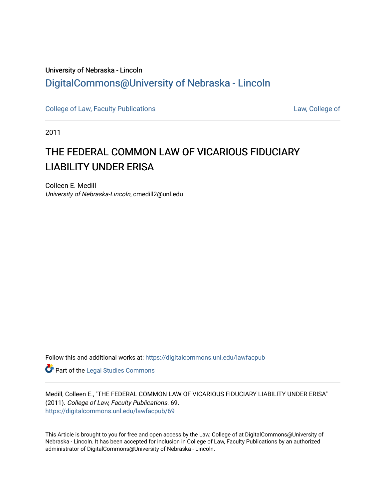# University of Nebraska - Lincoln [DigitalCommons@University of Nebraska - Lincoln](https://digitalcommons.unl.edu/)

[College of Law, Faculty Publications](https://digitalcommons.unl.edu/lawfacpub) **College of Law, College of** Law, College of

2011

# THE FEDERAL COMMON LAW OF VICARIOUS FIDUCIARY LIABILITY UNDER ERISA

Colleen E. Medill University of Nebraska-Lincoln, cmedill2@unl.edu

Follow this and additional works at: [https://digitalcommons.unl.edu/lawfacpub](https://digitalcommons.unl.edu/lawfacpub?utm_source=digitalcommons.unl.edu%2Flawfacpub%2F69&utm_medium=PDF&utm_campaign=PDFCoverPages) 

Part of the [Legal Studies Commons](http://network.bepress.com/hgg/discipline/366?utm_source=digitalcommons.unl.edu%2Flawfacpub%2F69&utm_medium=PDF&utm_campaign=PDFCoverPages) 

Medill, Colleen E., "THE FEDERAL COMMON LAW OF VICARIOUS FIDUCIARY LIABILITY UNDER ERISA" (2011). College of Law, Faculty Publications. 69. [https://digitalcommons.unl.edu/lawfacpub/69](https://digitalcommons.unl.edu/lawfacpub/69?utm_source=digitalcommons.unl.edu%2Flawfacpub%2F69&utm_medium=PDF&utm_campaign=PDFCoverPages)

This Article is brought to you for free and open access by the Law, College of at DigitalCommons@University of Nebraska - Lincoln. It has been accepted for inclusion in College of Law, Faculty Publications by an authorized administrator of DigitalCommons@University of Nebraska - Lincoln.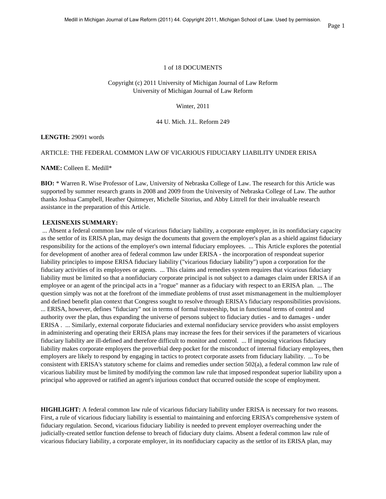#### 1 of 18 DOCUMENTS

# Copyright (c) 2011 University of Michigan Journal of Law Reform University of Michigan Journal of Law Reform

Winter, 2011

# 44 U. Mich. J.L. Reform 249

#### **LENGTH:** 29091 words

# ARTICLE: THE FEDERAL COMMON LAW OF VICARIOUS FIDUCIARY LIABILITY UNDER ERISA

**NAME:** Colleen E. Medill\*

**BIO:** \* Warren R. Wise Professor of Law, University of Nebraska College of Law. The research for this Article was supported by summer research grants in 2008 and 2009 from the University of Nebraska College of Law. The author thanks Joshua Campbell, Heather Quitmeyer, Michelle Sitorius, and Abby Littrell for their invaluable research assistance in the preparation of this Article.

#### **LEXISNEXIS SUMMARY:**

... Absent a federal common law rule of vicarious fiduciary liability, a corporate employer, in its nonfiduciary capacity as the settlor of its ERISA plan, may design the documents that govern the employer's plan as a shield against fiduciary responsibility for the actions of the employer's own internal fiduciary employees. ... This Article explores the potential for development of another area of federal common law under ERISA - the incorporation of respondeat superior liability principles to impose ERISA fiduciary liability ("vicarious fiduciary liability") upon a corporation for the fiduciary activities of its employees or agents. ... This claims and remedies system requires that vicarious fiduciary liability must be limited so that a nonfiduciary corporate principal is not subject to a damages claim under ERISA if an employee or an agent of the principal acts in a "rogue" manner as a fiduciary with respect to an ERISA plan. ... The question simply was not at the forefront of the immediate problems of trust asset mismanagement in the multiemployer and defined benefit plan context that Congress sought to resolve through ERISA's fiduciary responsibilities provisions. ... ERISA, however, defines "fiduciary" not in terms of formal trusteeship, but in functional terms of control and authority over the plan, thus expanding the universe of persons subject to fiduciary duties - and to damages - under ERISA . ... Similarly, external corporate fiduciaries and external nonfiduciary service providers who assist employers in administering and operating their ERISA plans may increase the fees for their services if the parameters of vicarious fiduciary liability are ill-defined and therefore difficult to monitor and control. ... If imposing vicarious fiduciary liability makes corporate employers the proverbial deep pocket for the misconduct of internal fiduciary employees, then employers are likely to respond by engaging in tactics to protect corporate assets from fiduciary liability. ... To be consistent with ERISA's statutory scheme for claims and remedies under section 502(a), a federal common law rule of vicarious liability must be limited by modifying the common law rule that imposed respondeat superior liability upon a principal who approved or ratified an agent's injurious conduct that occurred outside the scope of employment.

**HIGHLIGHT:** A federal common law rule of vicarious fiduciary liability under ERISA is necessary for two reasons. First, a rule of vicarious fiduciary liability is essential to maintaining and enforcing ERISA's comprehensive system of fiduciary regulation. Second, vicarious fiduciary liability is needed to prevent employer overreaching under the judicially-created settlor function defense to breach of fiduciary duty claims. Absent a federal common law rule of vicarious fiduciary liability, a corporate employer, in its nonfiduciary capacity as the settlor of its ERISA plan, may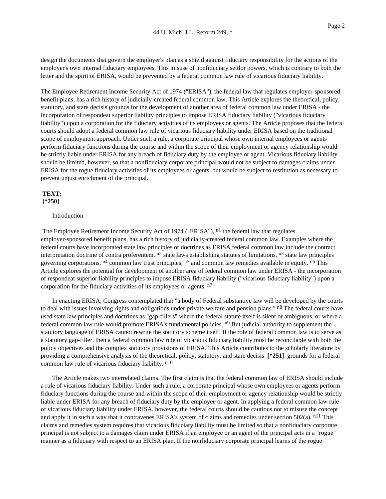design the documents that govern the employer's plan as a shield against fiduciary responsibility for the actions of the employer's own internal fiduciary employees. This misuse of nonfiduciary settlor powers, which is contrary to both the letter and the spirit of ERISA, would be prevented by a federal common law rule of vicarious fiduciary liability.

The Employee Retirement Income Security Act of 1974 ("ERISA"), the federal law that regulates employer-sponsored benefit plans, has a rich history of judicially-created federal common law. This Article explores the theoretical, policy, statutory, and stare decisis grounds for the development of another area of federal common law under ERISA - the incorporation of respondeat superior liability principles to impose ERISA fiduciary liability ("vicarious fiduciary liability") upon a corporation for the fiduciary activities of its employees or agents. The Article proposes that the federal courts should adopt a federal common law rule of vicarious fiduciary liability under ERISA based on the traditional scope of employment approach. Under such a rule, a corporate principal whose own internal employees or agents perform fiduciary functions during the course and within the scope of their employment or agency relationship would be strictly liable under ERISA for any breach of fiduciary duty by the employee or agent. Vicarious fiduciary liability should be limited, however, so that a nonfiduciary corporate principal would not be subject to damages claims under ERISA for the rogue fiduciary activities of its employees or agents, but would be subject to restitution as necessary to prevent unjust enrichment of the principal.

# **TEXT: [\*250]**

#### Introduction

The Employee Retirement Income Security Act of 1974 ("ERISA"), <sup>n1</sup> the federal law that regulates employer-sponsored benefit plans, has a rich history of judicially-created federal common law. Examples where the federal courts have incorporated state law principles or doctrines as ERISA federal common law include the contract interpretation doctrine of contra proferentem,  $n^2$  state laws establishing statutes of limitations,  $n^3$  state law principles governing corporations, <sup>n4</sup> common law trust principles, <sup>n5</sup> and common law remedies available in equity. <sup>n6</sup> This Article explores the potential for development of another area of federal common law under ERISA - the incorporation of respondeat superior liability principles to impose ERISA fiduciary liability ("vicarious fiduciary liability") upon a corporation for the fiduciary activities of its employees or agents.  $n^7$ 

In enacting ERISA, Congress contemplated that "a body of Federal substantive law will be developed by the courts to deal with issues involving rights and obligations under private welfare and pension plans." <sup>n8</sup> The federal courts have used state law principles and doctrines as "gap-fillers" where the federal statute itself is silent or ambiguous, or where a federal common law rule would promote ERISA's fundamental policies.  $n<sup>9</sup>$  But judicial authority to supplement the statutory language of ERISA cannot rewrite the statutory scheme itself. If the role of federal common law is to serve as a statutory gap-filler, then a federal common law rule of vicarious fiduciary liability must be reconcilable with both the policy objectives and the complex statutory provisions of ERISA. This Article contributes to the scholarly literature by providing a comprehensive analysis of the theoretical, policy, statutory, and stare decisis **[\*251]** grounds for a federal common law rule of vicarious fiduciary liability. n10

The Article makes two interrelated claims. The first claim is that the federal common law of ERISA should include a rule of vicarious fiduciary liability. Under such a rule, a corporate principal whose own employees or agents perform fiduciary functions during the course and within the scope of their employment or agency relationship would be strictly liable under ERISA for any breach of fiduciary duty by the employee or agent. In applying a federal common law rule of vicarious fiduciary liability under ERISA, however, the federal courts should be cautious not to misuse the concept and apply it in such a way that it contravenes ERISA's system of claims and remedies under section  $502(a)$ . <sup>n11</sup> This claims and remedies system requires that vicarious fiduciary liability must be limited so that a nonfiduciary corporate principal is not subject to a damages claim under ERISA if an employee or an agent of the principal acts in a "rogue" manner as a fiduciary with respect to an ERISA plan. If the nonfiduciary corporate principal learns of the rogue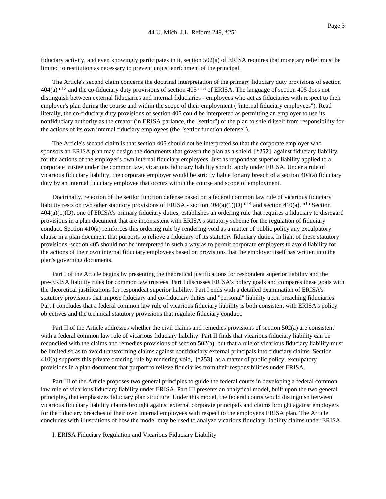fiduciary activity, and even knowingly participates in it, section 502(a) of ERISA requires that monetary relief must be limited to restitution as necessary to prevent unjust enrichment of the principal.

The Article's second claim concerns the doctrinal interpretation of the primary fiduciary duty provisions of section  $404(a)$  n<sup>12</sup> and the co-fiduciary duty provisions of section 405 n<sup>13</sup> of ERISA. The language of section 405 does not distinguish between external fiduciaries and internal fiduciaries - employees who act as fiduciaries with respect to their employer's plan during the course and within the scope of their employment ("internal fiduciary employees"). Read literally, the co-fiduciary duty provisions of section 405 could be interpreted as permitting an employer to use its nonfiduciary authority as the creator (in ERISA parlance, the "settlor") of the plan to shield itself from responsibility for the actions of its own internal fiduciary employees (the "settlor function defense").

The Article's second claim is that section 405 should not be interpreted so that the corporate employer who sponsors an ERISA plan may design the documents that govern the plan as a shield  $[*252]$  against fiduciary liability for the actions of the employer's own internal fiduciary employees. Just as respondeat superior liability applied to a corporate trustee under the common law, vicarious fiduciary liability should apply under ERISA. Under a rule of vicarious fiduciary liability, the corporate employer would be strictly liable for any breach of a section 404(a) fiduciary duty by an internal fiduciary employee that occurs within the course and scope of employment.

Doctrinally, rejection of the settlor function defense based on a federal common law rule of vicarious fiduciary liability rests on two other statutory provisions of ERISA - section  $404(a)(1)(D)$  n<sup>14</sup> and section  $410(a)$ . <sup>n15</sup> Section 404(a)(1)(D), one of ERISA's primary fiduciary duties, establishes an ordering rule that requires a fiduciary to disregard provisions in a plan document that are inconsistent with ERISA's statutory scheme for the regulation of fiduciary conduct. Section 410(a) reinforces this ordering rule by rendering void as a matter of public policy any exculpatory clause in a plan document that purports to relieve a fiduciary of its statutory fiduciary duties. In light of these statutory provisions, section 405 should not be interpreted in such a way as to permit corporate employers to avoid liability for the actions of their own internal fiduciary employees based on provisions that the employer itself has written into the plan's governing documents.

Part I of the Article begins by presenting the theoretical justifications for respondent superior liability and the pre-ERISA liability rules for common law trustees. Part I discusses ERISA's policy goals and compares these goals with the theoretical justifications for respondeat superior liability. Part I ends with a detailed examination of ERISA's statutory provisions that impose fiduciary and co-fiduciary duties and "personal" liability upon breaching fiduciaries. Part I concludes that a federal common law rule of vicarious fiduciary liability is both consistent with ERISA's policy objectives and the technical statutory provisions that regulate fiduciary conduct.

Part II of the Article addresses whether the civil claims and remedies provisions of section 502(a) are consistent with a federal common law rule of vicarious fiduciary liability. Part II finds that vicarious fiduciary liability can be reconciled with the claims and remedies provisions of section 502(a), but that a rule of vicarious fiduciary liability must be limited so as to avoid transforming claims against nonfiduciary external principals into fiduciary claims. Section 410(a) supports this private ordering rule by rendering void, **[\*253]** as a matter of public policy, exculpatory provisions in a plan document that purport to relieve fiduciaries from their responsibilities under ERISA.

Part III of the Article proposes two general principles to guide the federal courts in developing a federal common law rule of vicarious fiduciary liability under ERISA. Part III presents an analytical model, built upon the two general principles, that emphasizes fiduciary plan structure. Under this model, the federal courts would distinguish between vicarious fiduciary liability claims brought against external corporate principals and claims brought against employers for the fiduciary breaches of their own internal employees with respect to the employer's ERISA plan. The Article concludes with illustrations of how the model may be used to analyze vicarious fiduciary liability claims under ERISA.

I. ERISA Fiduciary Regulation and Vicarious Fiduciary Liability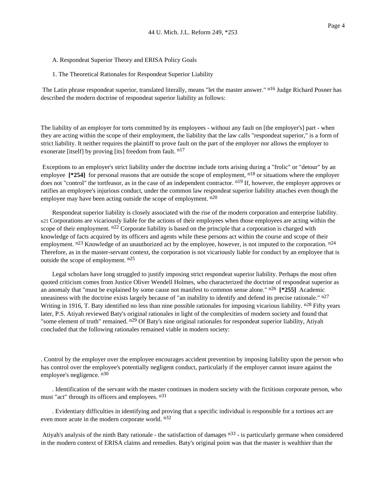- A. Respondeat Superior Theory and ERISA Policy Goals
- 1. The Theoretical Rationales for Respondeat Superior Liability

The Latin phrase respondeat superior, translated literally, means "let the master answer." <sup>n16</sup> Judge Richard Posner has described the modern doctrine of respondeat superior liability as follows:

The liability of an employer for torts committed by its employees - without any fault on [the employer's] part - when they are acting within the scope of their employment, the liability that the law calls "respondeat superior," is a form of strict liability. It neither requires the plaintiff to prove fault on the part of the employer nor allows the employer to exonerate [itself] by proving [its] freedom from fault.  $n^{17}$ 

Exceptions to an employer's strict liability under the doctrine include torts arising during a "frolic" or "detour" by an employee **[\*254]** for personal reasons that are outside the scope of employment, <sup>n18</sup> or situations where the employer does not "control" the tortfeasor, as in the case of an independent contractor. n<sup>19</sup> If, however, the employer approves or ratifies an employee's injurious conduct, under the common law respondeat superior liability attaches even though the employee may have been acting outside the scope of employment. n<sup>20</sup>

Respondeat superior liability is closely associated with the rise of the modern corporation and enterprise liability. n21 Corporations are vicariously liable for the actions of their employees when those employees are acting within the scope of their employment. n<sup>22</sup> Corporate liability is based on the principle that a corporation is charged with knowledge of facts acquired by its officers and agents while these persons act within the course and scope of their employment.  $n^{23}$  Knowledge of an unauthorized act by the employee, however, is not imputed to the corporation.  $n^{24}$ Therefore, as in the master-servant context, the corporation is not vicariously liable for conduct by an employee that is outside the scope of employment. n25

Legal scholars have long struggled to justify imposing strict respondeat superior liability. Perhaps the most often quoted criticism comes from Justice Oliver Wendell Holmes, who characterized the doctrine of respondeat superior as an anomaly that "must be explained by some cause not manifest to common sense alone." n26 **[\*255]** Academic uneasiness with the doctrine exists largely because of "an inability to identify and defend its precise rationale."  $n^{27}$ Writing in 1916, T. Baty identified no less than nine possible rationales for imposing vicarious liability. <sup>n28</sup> Fifty years later, P.S. Atiyah reviewed Baty's original rationales in light of the complexities of modern society and found that "some element of truth" remained. <sup>n29</sup> Of Baty's nine original rationales for respondeat superior liability, Atiyah concluded that the following rationales remained viable in modern society:

. Control by the employer over the employee encourages accident prevention by imposing liability upon the person who has control over the employee's potentially negligent conduct, particularly if the employer cannot insure against the employee's negligence. n<sup>30</sup>

. Identification of the servant with the master continues in modern society with the fictitious corporate person, who must "act" through its officers and employees. n<sup>31</sup>

. Evidentiary difficulties in identifying and proving that a specific individual is responsible for a tortious act are even more acute in the modern corporate world. n<sup>32</sup>

Atiyah's analysis of the ninth Baty rationale - the satisfaction of damages  $n33 -$  is particularly germane when considered in the modern context of ERISA claims and remedies. Baty's original point was that the master is wealthier than the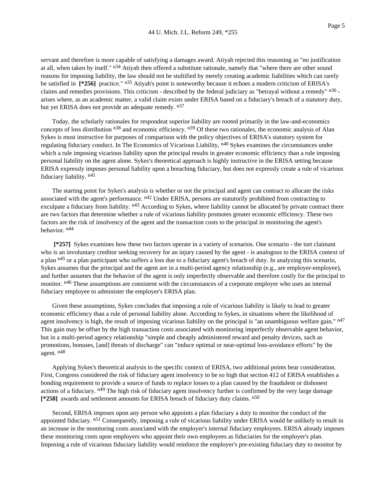servant and therefore is more capable of satisfying a damages award. Atiyah rejected this reasoning as "no justification at all, when taken by itself." n<sup>34</sup> Atiyah then offered a substitute rationale, namely that "where there are other sound reasons for imposing liability, the law should not be stultified by merely creating academic liabilities which can rarely be satisfied in **[\*256]** practice." n35 Atiyah's point is noteworthy because it echoes a modern criticism of ERISA's claims and remedies provisions. This criticism - described by the federal judiciary as "betrayal without a remedy" n<sup>36</sup> arises where, as an academic matter, a valid claim exists under ERISA based on a fiduciary's breach of a statutory duty, but yet ERISA does not provide an adequate remedy. n<sup>37</sup>

Today, the scholarly rationales for respondeat superior liability are rooted primarily in the law-and-economics concepts of loss distribution  $n^{38}$  and economic efficiency.  $n^{39}$  Of these two rationales, the economic analysis of Alan Sykes is most instructive for purposes of comparison with the policy objectives of ERISA's statutory system for regulating fiduciary conduct. In The Economics of Vicarious Liability, <sup>n40</sup> Sykes examines the circumstances under which a rule imposing vicarious liability upon the principal results in greater economic efficiency than a rule imposing personal liability on the agent alone. Sykes's theoretical approach is highly instructive in the ERISA setting because ERISA expressly imposes personal liability upon a breaching fiduciary, but does not expressly create a rule of vicarious fiduciary liability. n41

The starting point for Sykes's analysis is whether or not the principal and agent can contract to allocate the risks associated with the agent's performance. <sup>n42</sup> Under ERISA, persons are statutorily prohibited from contracting to exculpate a fiduciary from liability. <sup>n43</sup> According to Sykes, where liability cannot be allocated by private contract there are two factors that determine whether a rule of vicarious liability promotes greater economic efficiency. These two factors are the risk of insolvency of the agent and the transaction costs to the principal in monitoring the agent's behavior. n44

**[\*257]** Sykes examines how these two factors operate in a variety of scenarios. One scenario - the tort claimant who is an involuntary creditor seeking recovery for an injury caused by the agent - is analogous to the ERISA context of a plan n<sup>45</sup> or a plan participant who suffers a loss due to a fiduciary agent's breach of duty. In analyzing this scenario, Sykes assumes that the principal and the agent are in a multi-period agency relationship (e.g., are employer-employee), and further assumes that the behavior of the agent is only imperfectly observable and therefore costly for the principal to monitor. <sup>n46</sup> These assumptions are consistent with the circumstances of a corporate employer who uses an internal fiduciary employee to administer the employer's ERISA plan.

Given these assumptions, Sykes concludes that imposing a rule of vicarious liability is likely to lead to greater economic efficiency than a rule of personal liability alone. According to Sykes, in situations where the likelihood of agent insolvency is high, the result of imposing vicarious liability on the principal is "an unambiguous welfare gain."  $n47$ This gain may be offset by the high transaction costs associated with monitoring imperfectly observable agent behavior, but in a multi-period agency relationship "simple and cheaply administered reward and penalty devices, such as promotions, bonuses, [and] threats of discharge" can "induce optimal or near-optimal loss-avoidance efforts" by the agent. n48

Applying Sykes's theoretical analysis to the specific context of ERISA, two additional points bear consideration. First, Congress considered the risk of fiduciary agent insolvency to be so high that section 412 of ERISA establishes a bonding requirement to provide a source of funds to replace losses to a plan caused by the fraudulent or dishonest actions of a fiduciary. <sup>n49</sup> The high risk of fiduciary agent insolvency further is confirmed by the very large damage **[\*258]** awards and settlement amounts for ERISA breach of fiduciary duty claims. n50

Second, ERISA imposes upon any person who appoints a plan fiduciary a duty to monitor the conduct of the appointed fiduciary, <sup>n51</sup> Consequently, imposing a rule of vicarious liability under ERISA would be unlikely to result in an increase in the monitoring costs associated with the employer's internal fiduciary employees. ERISA already imposes these monitoring costs upon employers who appoint their own employees as fiduciaries for the employer's plan. Imposing a rule of vicarious fiduciary liability would reinforce the employer's pre-existing fiduciary duty to monitor by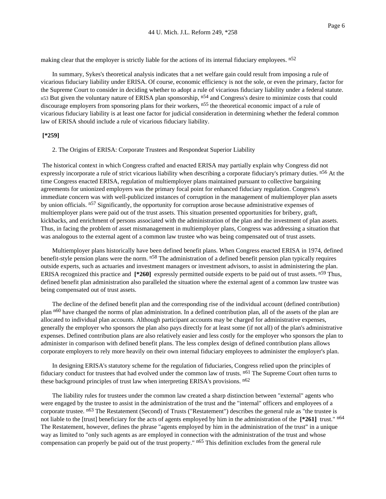making clear that the employer is strictly liable for the actions of its internal fiduciary employees. n<sup>52</sup>

In summary, Sykes's theoretical analysis indicates that a net welfare gain could result from imposing a rule of vicarious fiduciary liability under ERISA. Of course, economic efficiency is not the sole, or even the primary, factor for the Supreme Court to consider in deciding whether to adopt a rule of vicarious fiduciary liability under a federal statute. n53 But given the voluntary nature of ERISA plan sponsorship, n<sup>54</sup> and Congress's desire to minimize costs that could discourage employers from sponsoring plans for their workers, n<sup>55</sup> the theoretical economic impact of a rule of vicarious fiduciary liability is at least one factor for judicial consideration in determining whether the federal common law of ERISA should include a rule of vicarious fiduciary liability.

#### **[\*259]**

2. The Origins of ERISA: Corporate Trustees and Respondeat Superior Liability

The historical context in which Congress crafted and enacted ERISA may partially explain why Congress did not expressly incorporate a rule of strict vicarious liability when describing a corporate fiduciary's primary duties. n<sup>56</sup> At the time Congress enacted ERISA, regulation of multiemployer plans maintained pursuant to collective bargaining agreements for unionized employers was the primary focal point for enhanced fiduciary regulation. Congress's immediate concern was with well-publicized instances of corruption in the management of multiemployer plan assets by union officials. n<sup>57</sup> Significantly, the opportunity for corruption arose because administrative expenses of multiemployer plans were paid out of the trust assets. This situation presented opportunities for bribery, graft, kickbacks, and enrichment of persons associated with the administration of the plan and the investment of plan assets. Thus, in facing the problem of asset mismanagement in multiemployer plans, Congress was addressing a situation that was analogous to the external agent of a common law trustee who was being compensated out of trust assets.

Multiemployer plans historically have been defined benefit plans. When Congress enacted ERISA in 1974, defined benefit-style pension plans were the norm. n58 The administration of a defined benefit pension plan typically requires outside experts, such as actuaries and investment managers or investment advisors, to assist in administering the plan. ERISA recognized this practice and **[\*260]** expressly permitted outside experts to be paid out of trust assets. n59 Thus, defined benefit plan administration also paralleled the situation where the external agent of a common law trustee was being compensated out of trust assets.

The decline of the defined benefit plan and the corresponding rise of the individual account (defined contribution) plan n60 have changed the norms of plan administration. In a defined contribution plan, all of the assets of the plan are allocated to individual plan accounts. Although participant accounts may be charged for administrative expenses, generally the employer who sponsors the plan also pays directly for at least some (if not all) of the plan's administrative expenses. Defined contribution plans are also relatively easier and less costly for the employer who sponsors the plan to administer in comparison with defined benefit plans. The less complex design of defined contribution plans allows corporate employers to rely more heavily on their own internal fiduciary employees to administer the employer's plan.

In designing ERISA's statutory scheme for the regulation of fiduciaries, Congress relied upon the principles of fiduciary conduct for trustees that had evolved under the common law of trusts. n61 The Supreme Court often turns to these background principles of trust law when interpreting ERISA's provisions. n62

The liability rules for trustees under the common law created a sharp distinction between "external" agents who were engaged by the trustee to assist in the administration of the trust and the "internal" officers and employees of a corporate trustee. n<sup>63</sup> The Restatement (Second) of Trusts ("Restatement") describes the general rule as "the trustee is not liable to the [trust] beneficiary for the acts of agents employed by him in the administration of the **[\*261]** trust." n64 The Restatement, however, defines the phrase "agents employed by him in the administration of the trust" in a unique way as limited to "only such agents as are employed in connection with the administration of the trust and whose compensation can properly be paid out of the trust property." n<sup>65</sup> This definition excludes from the general rule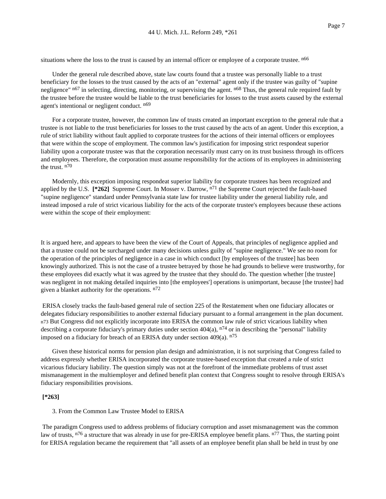situations where the loss to the trust is caused by an internal officer or employee of a corporate trustee. n<sup>66</sup>

Under the general rule described above, state law courts found that a trustee was personally liable to a trust beneficiary for the losses to the trust caused by the acts of an "external" agent only if the trustee was guilty of "supine negligence" n<sup>67</sup> in selecting, directing, monitoring, or supervising the agent. n<sup>68</sup> Thus, the general rule required fault by the trustee before the trustee would be liable to the trust beneficiaries for losses to the trust assets caused by the external agent's intentional or negligent conduct. n69

For a corporate trustee, however, the common law of trusts created an important exception to the general rule that a trustee is not liable to the trust beneficiaries for losses to the trust caused by the acts of an agent. Under this exception, a rule of strict liability without fault applied to corporate trustees for the actions of their internal officers or employees that were within the scope of employment. The common law's justification for imposing strict respondeat superior liability upon a corporate trustee was that the corporation necessarily must carry on its trust business through its officers and employees. Therefore, the corporation must assume responsibility for the actions of its employees in administering the trust. n70

Modernly, this exception imposing respondeat superior liability for corporate trustees has been recognized and applied by the U.S. **[\*262]** Supreme Court. In Mosser v. Darrow, n71 the Supreme Court rejected the fault-based "supine negligence" standard under Pennsylvania state law for trustee liability under the general liability rule, and instead imposed a rule of strict vicarious liability for the acts of the corporate trustee's employees because these actions were within the scope of their employment:

It is argued here, and appears to have been the view of the Court of Appeals, that principles of negligence applied and that a trustee could not be surcharged under many decisions unless guilty of "supine negligence." We see no room for the operation of the principles of negligence in a case in which conduct [by employees of the trustee] has been knowingly authorized. This is not the case of a trustee betrayed by those he had grounds to believe were trustworthy, for these employees did exactly what it was agreed by the trustee that they should do. The question whether [the trustee] was negligent in not making detailed inquiries into [the employees'] operations is unimportant, because [the trustee] had given a blanket authority for the operations. n72

ERISA closely tracks the fault-based general rule of section 225 of the Restatement when one fiduciary allocates or delegates fiduciary responsibilities to another external fiduciary pursuant to a formal arrangement in the plan document. n73 But Congress did not explicitly incorporate into ERISA the common law rule of strict vicarious liability when describing a corporate fiduciary's primary duties under section  $404(a)$ ,  $n^{74}$  or in describing the "personal" liability imposed on a fiduciary for breach of an ERISA duty under section 409(a).  $n^{75}$ 

Given these historical norms for pension plan design and administration, it is not surprising that Congress failed to address expressly whether ERISA incorporated the corporate trustee-based exception that created a rule of strict vicarious fiduciary liability. The question simply was not at the forefront of the immediate problems of trust asset mismanagement in the multiemployer and defined benefit plan context that Congress sought to resolve through ERISA's fiduciary responsibilities provisions.

#### **[\*263]**

#### 3. From the Common Law Trustee Model to ERISA

The paradigm Congress used to address problems of fiduciary corruption and asset mismanagement was the common law of trusts,  $n^{76}$  a structure that was already in use for pre-ERISA employee benefit plans.  $n^{77}$  Thus, the starting point for ERISA regulation became the requirement that "all assets of an employee benefit plan shall be held in trust by one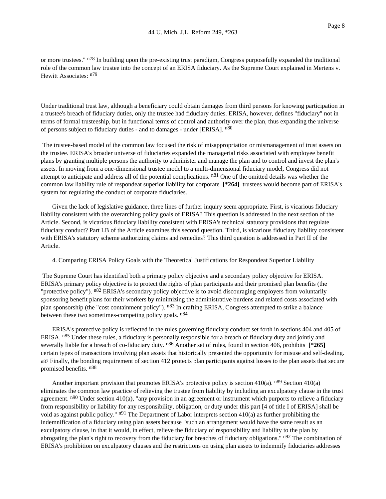or more trustees." n<sup>78</sup> In building upon the pre-existing trust paradigm, Congress purposefully expanded the traditional role of the common law trustee into the concept of an ERISA fiduciary. As the Supreme Court explained in Mertens v. Hewitt Associates: n79

Under traditional trust law, although a beneficiary could obtain damages from third persons for knowing participation in a trustee's breach of fiduciary duties, only the trustee had fiduciary duties. ERISA, however, defines "fiduciary" not in terms of formal trusteeship, but in functional terms of control and authority over the plan, thus expanding the universe of persons subject to fiduciary duties - and to damages - under [ERISA]. n80

The trustee-based model of the common law focused the risk of misappropriation or mismanagement of trust assets on the trustee. ERISA's broader universe of fiduciaries expanded the managerial risks associated with employee benefit plans by granting multiple persons the authority to administer and manage the plan and to control and invest the plan's assets. In moving from a one-dimensional trustee model to a multi-dimensional fiduciary model, Congress did not attempt to anticipate and address all of the potential complications. n81 One of the omitted details was whether the common law liability rule of respondeat superior liability for corporate **[\*264]** trustees would become part of ERISA's system for regulating the conduct of corporate fiduciaries.

Given the lack of legislative guidance, three lines of further inquiry seem appropriate. First, is vicarious fiduciary liability consistent with the overarching policy goals of ERISA? This question is addressed in the next section of the Article. Second, is vicarious fiduciary liability consistent with ERISA's technical statutory provisions that regulate fiduciary conduct? Part I.B of the Article examines this second question. Third, is vicarious fiduciary liability consistent with ERISA's statutory scheme authorizing claims and remedies? This third question is addressed in Part II of the Article.

4. Comparing ERISA Policy Goals with the Theoretical Justifications for Respondeat Superior Liability

The Supreme Court has identified both a primary policy objective and a secondary policy objective for ERISA. ERISA's primary policy objective is to protect the rights of plan participants and their promised plan benefits (the "protective policy"). <sup>n82</sup> ERISA's secondary policy objective is to avoid discouraging employers from voluntarily sponsoring benefit plans for their workers by minimizing the administrative burdens and related costs associated with plan sponsorship (the "cost containment policy"). n<sup>83</sup> In crafting ERISA, Congress attempted to strike a balance between these two sometimes-competing policy goals. n84

ERISA's protective policy is reflected in the rules governing fiduciary conduct set forth in sections 404 and 405 of ERISA. n85 Under these rules, a fiduciary is personally responsible for a breach of fiduciary duty and jointly and severally liable for a breach of co-fiduciary duty. n86 Another set of rules, found in section 406, prohibits **[\*265]** certain types of transactions involving plan assets that historically presented the opportunity for misuse and self-dealing. n87 Finally, the bonding requirement of section 412 protects plan participants against losses to the plan assets that secure promised benefits. n88

Another important provision that promotes ERISA's protective policy is section  $410(a)$ .  $n^{89}$  Section  $410(a)$ eliminates the common law practice of relieving the trustee from liability by including an exculpatory clause in the trust agreement.  $n^{90}$  Under section 410(a), "any provision in an agreement or instrument which purports to relieve a fiduciary from responsibility or liability for any responsibility, obligation, or duty under this part [4 of title I of ERISA] shall be void as against public policy."  $n^{91}$  The Department of Labor interprets section 410(a) as further prohibiting the indemnification of a fiduciary using plan assets because "such an arrangement would have the same result as an exculpatory clause, in that it would, in effect, relieve the fiduciary of responsibility and liability to the plan by abrogating the plan's right to recovery from the fiduciary for breaches of fiduciary obligations."  $n^{92}$  The combination of ERISA's prohibition on exculpatory clauses and the restrictions on using plan assets to indemnify fiduciaries addresses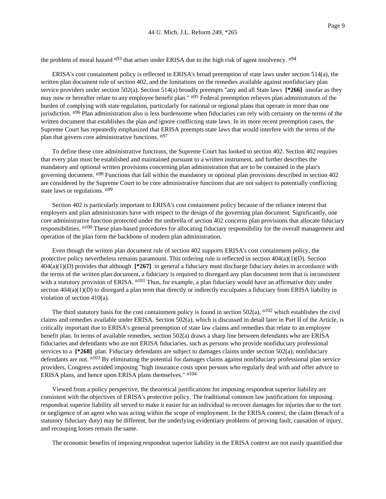the problem of moral hazard n<sup>93</sup> that arises under ERISA due to the high risk of agent insolvency. n<sup>94</sup>

ERISA's cost containment policy is reflected in ERISA's broad preemption of state laws under section 514(a), the written plan document rule of section 402, and the limitations on the remedies available against nonfiduciary plan service providers under section 502(a). Section 514(a) broadly preempts "any and all State laws **[\*266]** insofar as they may now or hereafter relate to any employee benefit plan." n<sup>95</sup> Federal preemption relieves plan administrators of the burden of complying with state regulation, particularly for national or regional plans that operate in more than one jurisdiction. n<sup>96</sup> Plan administration also is less burdensome when fiduciaries can rely with certainty on the terms of the written document that establishes the plan and ignore conflicting state laws. In its more recent preemption cases, the Supreme Court has repeatedly emphasized that ERISA preempts state laws that would interfere with the terms of the plan that govern core administrative functions. n<sup>97</sup>

To define these core administrative functions, the Supreme Court has looked to section 402. Section 402 requires that every plan must be established and maintained pursuant to a written instrument, and further describes the mandatory and optional written provisions concerning plan administration that are to be contained in the plan's governing document. n<sup>98</sup> Functions that fall within the mandatory or optional plan provisions described in section 402 are considered by the Supreme Court to be core administrative functions that are not subject to potentially conflicting state laws or regulations. n99

Section 402 is particularly important to ERISA's cost containment policy because of the reliance interest that employers and plan administrators have with respect to the design of the governing plan document. Significantly, one core administrative function protected under the umbrella of section 402 concerns plan provisions that allocate fiduciary responsibilities. n<sup>100</sup> These plan-based procedures for allocating fiduciary responsibility for the overall management and operation of the plan form the backbone of modern plan administration.

Even though the written plan document rule of section 402 supports ERISA's cost containment policy, the protective policy nevertheless remains paramount. This ordering rule is reflected in section  $404(a)(1)(D)$ . Section 404(a)(1)(D) provides that although **[\*267]** in general a fiduciary must discharge fiduciary duties in accordance with the terms of the written plan document, a fiduciary is required to disregard any plan document term that is inconsistent with a statutory provision of ERISA.  $n101$  Thus, for example, a plan fiduciary would have an affirmative duty under section  $404(a)(1)(D)$  to disregard a plan term that directly or indirectly exculpates a fiduciary from ERISA liability in violation of section 410(a).

The third statutory basis for the cost containment policy is found in section  $502(a)$ ,  $n^{102}$  which establishes the civil claims and remedies available under ERISA. Section 502(a), which is discussed in detail later in Part II of the Article, is critically important due to ERISA's general preemption of state law claims and remedies that relate to an employee benefit plan. In terms of available remedies, section 502(a) draws a sharp line between defendants who are ERISA fiduciaries and defendants who are not ERISA fiduciaries, such as persons who provide nonfiduciary professional services to a **[\*268]** plan. Fiduciary defendants are subject to damages claims under section 502(a); nonfiduciary defendants are not.  $n^{103}$  By eliminating the potential for damages claims against nonfiduciary professional plan service providers, Congress avoided imposing "high insurance costs upon persons who regularly deal with and offer advice to ERISA plans, and hence upon ERISA plans themselves." n104

Viewed from a policy perspective, the theoretical justifications for imposing respondeat superior liability are consistent with the objectives of ERISA's protective policy. The traditional common law justifications for imposing respondeat superior liability all served to make it easier for an individual to recover damages for injuries due to the tort or negligence of an agent who was acting within the scope of employment. In the ERISA context, the claim (breach of a statutory fiduciary duty) may be different, but the underlying evidentiary problems of proving fault, causation of injury, and recouping losses remain the same.

The economic benefits of imposing respondeat superior liability in the ERISA context are not easily quantified due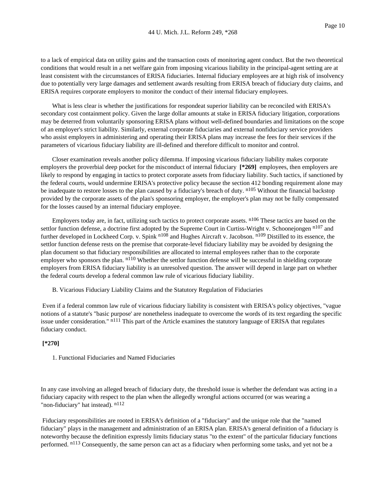to a lack of empirical data on utility gains and the transaction costs of monitoring agent conduct. But the two theoretical conditions that would result in a net welfare gain from imposing vicarious liability in the principal-agent setting are at least consistent with the circumstances of ERISA fiduciaries. Internal fiduciary employees are at high risk of insolvency due to potentially very large damages and settlement awards resulting from ERISA breach of fiduciary duty claims, and ERISA requires corporate employers to monitor the conduct of their internal fiduciary employees.

What is less clear is whether the justifications for respondeat superior liability can be reconciled with ERISA's secondary cost containment policy. Given the large dollar amounts at stake in ERISA fiduciary litigation, corporations may be deterred from voluntarily sponsoring ERISA plans without well-defined boundaries and limitations on the scope of an employer's strict liability. Similarly, external corporate fiduciaries and external nonfiduciary service providers who assist employers in administering and operating their ERISA plans may increase the fees for their services if the parameters of vicarious fiduciary liability are ill-defined and therefore difficult to monitor and control.

Closer examination reveals another policy dilemma. If imposing vicarious fiduciary liability makes corporate employers the proverbial deep pocket for the misconduct of internal fiduciary **[\*269]** employees, then employers are likely to respond by engaging in tactics to protect corporate assets from fiduciary liability. Such tactics, if sanctioned by the federal courts, would undermine ERISA's protective policy because the section 412 bonding requirement alone may be inadequate to restore losses to the plan caused by a fiduciary's breach of duty. n105 Without the financial backstop provided by the corporate assets of the plan's sponsoring employer, the employer's plan may not be fully compensated for the losses caused by an internal fiduciary employee.

Employers today are, in fact, utilizing such tactics to protect corporate assets. n106 These tactics are based on the settlor function defense, a doctrine first adopted by the Supreme Court in Curtiss-Wright v. Schoonejongen n<sup>107</sup> and further developed in Lockheed Corp. v. Spink <sup>n108</sup> and Hughes Aircraft v. Jacobson. <sup>n109</sup> Distilled to its essence, the settlor function defense rests on the premise that corporate-level fiduciary liability may be avoided by designing the plan document so that fiduciary responsibilities are allocated to internal employees rather than to the corporate employer who sponsors the plan. n<sup>110</sup> Whether the settlor function defense will be successful in shielding corporate employers from ERISA fiduciary liability is an unresolved question. The answer will depend in large part on whether the federal courts develop a federal common law rule of vicarious fiduciary liability.

B. Vicarious Fiduciary Liability Claims and the Statutory Regulation of Fiduciaries

Even if a federal common law rule of vicarious fiduciary liability is consistent with ERISA's policy objectives, "vague notions of a statute's "basic purpose' are nonetheless inadequate to overcome the words of its text regarding the specific issue under consideration." <sup>n111</sup> This part of the Article examines the statutory language of ERISA that regulates fiduciary conduct.

# **[\*270]**

1. Functional Fiduciaries and Named Fiduciaries

In any case involving an alleged breach of fiduciary duty, the threshold issue is whether the defendant was acting in a fiduciary capacity with respect to the plan when the allegedly wrongful actions occurred (or was wearing a "non-fiduciary" hat instead). <sup>n112</sup>

Fiduciary responsibilities are rooted in ERISA's definition of a "fiduciary" and the unique role that the "named fiduciary" plays in the management and administration of an ERISA plan. ERISA's general definition of a fiduciary is noteworthy because the definition expressly limits fiduciary status "to the extent" of the particular fiduciary functions performed. n<sup>113</sup> Consequently, the same person can act as a fiduciary when performing some tasks, and yet not be a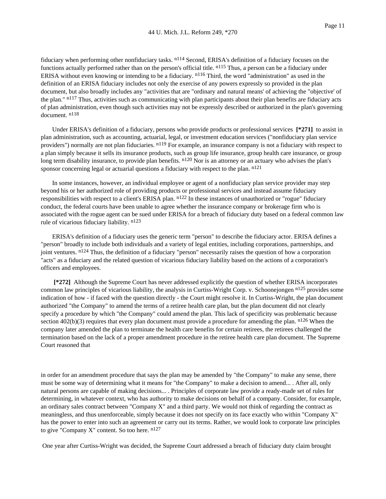fiduciary when performing other nonfiduciary tasks. n114 Second, ERISA's definition of a fiduciary focuses on the functions actually performed rather than on the person's official title.  $n^{115}$  Thus, a person can be a fiduciary under ERISA without even knowing or intending to be a fiduciary. n<sup>116</sup> Third, the word "administration" as used in the definition of an ERISA fiduciary includes not only the exercise of any powers expressly so provided in the plan document, but also broadly includes any "activities that are "ordinary and natural means' of achieving the "objective' of the plan." n<sup>117</sup> Thus, activities such as communicating with plan participants about their plan benefits are fiduciary acts of plan administration, even though such activities may not be expressly described or authorized in the plan's governing document. n118

Under ERISA's definition of a fiduciary, persons who provide products or professional services **[\*271]** to assist in plan administration, such as accounting, actuarial, legal, or investment education services ("nonfiduciary plan service providers") normally are not plan fiduciaries. <sup>n119</sup> For example, an insurance company is not a fiduciary with respect to a plan simply because it sells its insurance products, such as group life insurance, group health care insurance, or group long term disability insurance, to provide plan benefits.  $n^{120}$  Nor is an attorney or an actuary who advises the plan's sponsor concerning legal or actuarial questions a fiduciary with respect to the plan. n<sup>121</sup>

In some instances, however, an individual employee or agent of a nonfiduciary plan service provider may step beyond his or her authorized role of providing products or professional services and instead assume fiduciary responsibilities with respect to a client's ERISA plan. n122 In these instances of unauthorized or "rogue" fiduciary conduct, the federal courts have been unable to agree whether the insurance company or brokerage firm who is associated with the rogue agent can be sued under ERISA for a breach of fiduciary duty based on a federal common law rule of vicarious fiduciary liability. n123

ERISA's definition of a fiduciary uses the generic term "person" to describe the fiduciary actor. ERISA defines a "person" broadly to include both individuals and a variety of legal entities, including corporations, partnerships, and joint ventures. <sup>n124</sup> Thus, the definition of a fiduciary "person" necessarily raises the question of how a corporation "acts" as a fiduciary and the related question of vicarious fiduciary liability based on the actions of a corporation's officers and employees.

**[\*272]** Although the Supreme Court has never addressed explicitly the question of whether ERISA incorporates common law principles of vicarious liability, the analysis in Curtiss-Wright Corp. v. Schoonejongen <sup>n125</sup> provides some indication of how - if faced with the question directly - the Court might resolve it. In Curtiss-Wright, the plan document authorized "the Company" to amend the terms of a retiree health care plan, but the plan document did not clearly specify a procedure by which "the Company" could amend the plan. This lack of specificity was problematic because section 402(b)(3) requires that every plan document must provide a procedure for amending the plan.  $n126$  When the company later amended the plan to terminate the health care benefits for certain retirees, the retirees challenged the termination based on the lack of a proper amendment procedure in the retiree health care plan document. The Supreme Court reasoned that

in order for an amendment procedure that says the plan may be amended by "the Company" to make any sense, there must be some way of determining what it means for "the Company" to make a decision to amend... . After all, only natural persons are capable of making decisions... . Principles of corporate law provide a ready-made set of rules for determining, in whatever context, who has authority to make decisions on behalf of a company. Consider, for example, an ordinary sales contract between "Company  $X$ " and a third party. We would not think of regarding the contract as meaningless, and thus unenforceable, simply because it does not specify on its face exactly who within "Company X" has the power to enter into such an agreement or carry out its terms. Rather, we would look to corporate law principles to give "Company X" content. So too here.  $n127$ 

One year after Curtiss-Wright was decided, the Supreme Court addressed a breach of fiduciary duty claim brought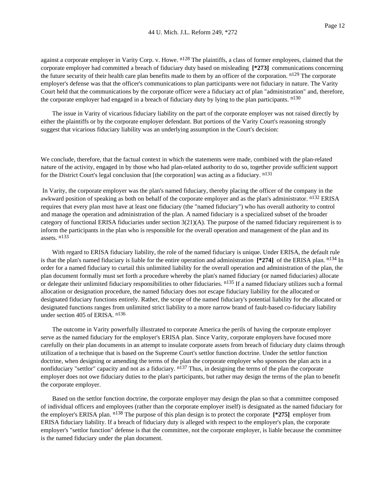against a corporate employer in Varity Corp. v. Howe. <sup>n128</sup> The plaintiffs, a class of former employees, claimed that the corporate employer had committed a breach of fiduciary duty based on misleading **[\*273]** communications concerning the future security of their health care plan benefits made to them by an officer of the corporation.  $n^{129}$  The corporate employer's defense was that the officer's communications to plan participants were not fiduciary in nature. The Varity Court held that the communications by the corporate officer were a fiduciary act of plan "administration" and, therefore, the corporate employer had engaged in a breach of fiduciary duty by lying to the plan participants. n<sup>130</sup>

The issue in Varity of vicarious fiduciary liability on the part of the corporate employer was not raised directly by either the plaintiffs or by the corporate employer defendant. But portions of the Varity Court's reasoning strongly suggest that vicarious fiduciary liability was an underlying assumption in the Court's decision:

We conclude, therefore, that the factual context in which the statements were made, combined with the plan-related nature of the activity, engaged in by those who had plan-related authority to do so, together provide sufficient support for the District Court's legal conclusion that [the corporation] was acting as a fiduciary. n131

In Varity, the corporate employer was the plan's named fiduciary, thereby placing the officer of the company in the awkward position of speaking as both on behalf of the corporate employer and as the plan's administrator. <sup>n132</sup> ERISA requires that every plan must have at least one fiduciary (the "named fiduciary") who has overall authority to control and manage the operation and administration of the plan. A named fiduciary is a specialized subset of the broader category of functional ERISA fiduciaries under section  $3(21)(A)$ . The purpose of the named fiduciary requirement is to inform the participants in the plan who is responsible for the overall operation and management of the plan and its assets. n133

With regard to ERISA fiduciary liability, the role of the named fiduciary is unique. Under ERISA, the default rule is that the plan's named fiduciary is liable for the entire operation and administration **[\*274]** of the ERISA plan. n134 In order for a named fiduciary to curtail this unlimited liability for the overall operation and administration of the plan, the plan document formally must set forth a procedure whereby the plan's named fiduciary (or named fiduciaries) allocate or delegate their unlimited fiduciary responsibilities to other fiduciaries. <sup>n135</sup> If a named fiduciary utilizes such a formal allocation or designation procedure, the named fiduciary does not escape fiduciary liability for the allocated or designated fiduciary functions entirely. Rather, the scope of the named fiduciary's potential liability for the allocated or designated functions ranges from unlimited strict liability to a more narrow brand of fault-based co-fiduciary liability under section 405 of ERISA. n136

The outcome in Varity powerfully illustrated to corporate America the perils of having the corporate employer serve as the named fiduciary for the employer's ERISA plan. Since Varity, corporate employers have focused more carefully on their plan documents in an attempt to insulate corporate assets from breach of fiduciary duty claims through utilization of a technique that is based on the Supreme Court's settlor function doctrine. Under the settlor function doctrine, when designing or amending the terms of the plan the corporate employer who sponsors the plan acts in a nonfiduciary "settlor" capacity and not as a fiduciary.  $n^{137}$  Thus, in designing the terms of the plan the corporate employer does not owe fiduciary duties to the plan's participants, but rather may design the terms of the plan to benefit the corporate employer.

Based on the settlor function doctrine, the corporate employer may design the plan so that a committee composed of individual officers and employees (rather than the corporate employer itself) is designated as the named fiduciary for the employer's ERISA plan. n138 The purpose of this plan design is to protect the corporate **[\*275]** employer from ERISA fiduciary liability. If a breach of fiduciary duty is alleged with respect to the employer's plan, the corporate employer's "settlor function" defense is that the committee, not the corporate employer, is liable because the committee is the named fiduciary under the plan document.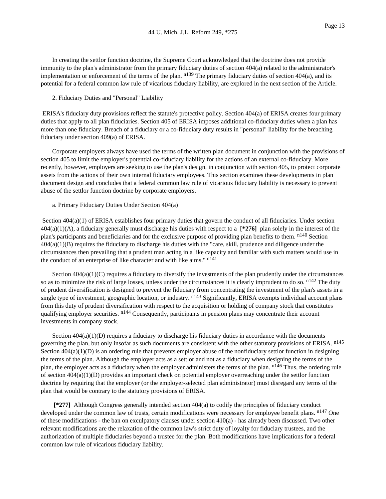In creating the settlor function doctrine, the Supreme Court acknowledged that the doctrine does not provide immunity to the plan's administrator from the primary fiduciary duties of section 404(a) related to the administrator's implementation or enforcement of the terms of the plan.  $n^{139}$  The primary fiduciary duties of section 404(a), and its potential for a federal common law rule of vicarious fiduciary liability, are explored in the next section of the Article.

#### 2. Fiduciary Duties and "Personal" Liability

ERISA's fiduciary duty provisions reflect the statute's protective policy. Section 404(a) of ERISA creates four primary duties that apply to all plan fiduciaries. Section 405 of ERISA imposes additional co-fiduciary duties when a plan has more than one fiduciary. Breach of a fiduciary or a co-fiduciary duty results in "personal" liability for the breaching fiduciary under section 409(a) of ERISA.

Corporate employers always have used the terms of the written plan document in conjunction with the provisions of section 405 to limit the employer's potential co-fiduciary liability for the actions of an external co-fiduciary. More recently, however, employers are seeking to use the plan's design, in conjunction with section 405, to protect corporate assets from the actions of their own internal fiduciary employees. This section examines these developments in plan document design and concludes that a federal common law rule of vicarious fiduciary liability is necessary to prevent abuse of the settlor function doctrine by corporate employers.

# a. Primary Fiduciary Duties Under Section 404(a)

Section 404(a)(1) of ERISA establishes four primary duties that govern the conduct of all fiduciaries. Under section 404(a)(1)(A), a fiduciary generally must discharge his duties with respect to a **[\*276]** plan solely in the interest of the plan's participants and beneficiaries and for the exclusive purpose of providing plan benefits to them. n140 Section  $404(a)(1)(B)$  requires the fiduciary to discharge his duties with the "care, skill, prudence and diligence under the circumstances then prevailing that a prudent man acting in a like capacity and familiar with such matters would use in the conduct of an enterprise of like character and with like aims." n141

Section  $404(a)(1)(C)$  requires a fiduciary to diversify the investments of the plan prudently under the circumstances so as to minimize the risk of large losses, unless under the circumstances it is clearly imprudent to do so.  $n^{142}$  The duty of prudent diversification is designed to prevent the fiduciary from concentrating the investment of the plan's assets in a single type of investment, geographic location, or industry.  $n^{143}$  Significantly, ERISA exempts individual account plans from this duty of prudent diversification with respect to the acquisition or holding of company stock that constitutes qualifying employer securities. <sup>n144</sup> Consequently, participants in pension plans may concentrate their account investments in company stock.

Section  $404(a)(1)(D)$  requires a fiduciary to discharge his fiduciary duties in accordance with the documents governing the plan, but only insofar as such documents are consistent with the other statutory provisions of ERISA. n145 Section  $404(a)(1)(D)$  is an ordering rule that prevents employer abuse of the nonfiduciary settlor function in designing the terms of the plan. Although the employer acts as a settlor and not as a fiduciary when designing the terms of the plan, the employer acts as a fiduciary when the employer administers the terms of the plan. n<sup>146</sup> Thus, the ordering rule of section 404(a)(1)(D) provides an important check on potential employer overreaching under the settlor function doctrine by requiring that the employer (or the employer-selected plan administrator) must disregard any terms of the plan that would be contrary to the statutory provisions of ERISA.

**[\*277]** Although Congress generally intended section 404(a) to codify the principles of fiduciary conduct developed under the common law of trusts, certain modifications were necessary for employee benefit plans. n<sup>147</sup> One of these modifications - the ban on exculpatory clauses under section 410(a) - has already been discussed. Two other relevant modifications are the relaxation of the common law's strict duty of loyalty for fiduciary trustees, and the authorization of multiple fiduciaries beyond a trustee for the plan. Both modifications have implications for a federal common law rule of vicarious fiduciary liability.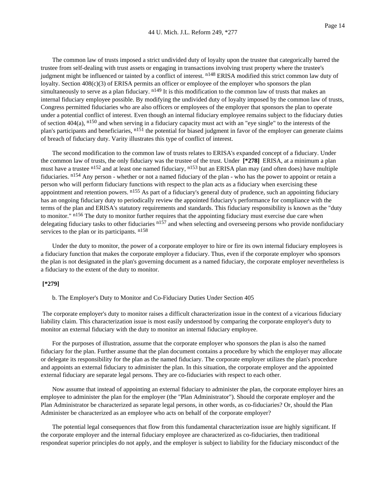The common law of trusts imposed a strict undivided duty of loyalty upon the trustee that categorically barred the trustee from self-dealing with trust assets or engaging in transactions involving trust property where the trustee's judgment might be influenced or tainted by a conflict of interest. n<sup>148</sup> ERISA modified this strict common law duty of loyalty. Section  $408(c)(3)$  of ERISA permits an officer or employee of the employer who sponsors the plan simultaneously to serve as a plan fiduciary.  $n^{149}$  It is this modification to the common law of trusts that makes an internal fiduciary employee possible. By modifying the undivided duty of loyalty imposed by the common law of trusts, Congress permitted fiduciaries who are also officers or employees of the employer that sponsors the plan to operate under a potential conflict of interest. Even though an internal fiduciary employee remains subject to the fiduciary duties of section  $404(a)$ ,  $^{n150}$  and when serving in a fiduciary capacity must act with an "eye single" to the interests of the plan's participants and beneficiaries, <sup>n151</sup> the potential for biased judgment in favor of the employer can generate claims of breach of fiduciary duty. Varity illustrates this type of conflict of interest.

The second modification to the common law of trusts relates to ERISA's expanded concept of a fiduciary. Under the common law of trusts, the only fiduciary was the trustee of the trust. Under **[\*278]** ERISA, at a minimum a plan must have a trustee  $152$  and at least one named fiduciary,  $153$  but an ERISA plan may (and often does) have multiple fiduciaries. n154 Any person - whether or not a named fiduciary of the plan - who has the power to appoint or retain a person who will perform fiduciary functions with respect to the plan acts as a fiduciary when exercising these appointment and retention powers. n<sup>155</sup> As part of a fiduciary's general duty of prudence, such an appointing fiduciary has an ongoing fiduciary duty to periodically review the appointed fiduciary's performance for compliance with the terms of the plan and ERISA's statutory requirements and standards. This fiduciary responsibility is known as the "duty to monitor." n<sup>156</sup> The duty to monitor further requires that the appointing fiduciary must exercise due care when delegating fiduciary tasks to other fiduciaries  $n157$  and when selecting and overseeing persons who provide nonfiduciary services to the plan or its participants.  $n158$ 

Under the duty to monitor, the power of a corporate employer to hire or fire its own internal fiduciary employees is a fiduciary function that makes the corporate employer a fiduciary. Thus, even if the corporate employer who sponsors the plan is not designated in the plan's governing document as a named fiduciary, the corporate employer nevertheless is a fiduciary to the extent of the duty to monitor.

#### **[\*279]**

b. The Employer's Duty to Monitor and Co-Fiduciary Duties Under Section 405

The corporate employer's duty to monitor raises a difficult characterization issue in the context of a vicarious fiduciary liability claim. This characterization issue is most easily understood by comparing the corporate employer's duty to monitor an external fiduciary with the duty to monitor an internal fiduciary employee.

For the purposes of illustration, assume that the corporate employer who sponsors the plan is also the named fiduciary for the plan. Further assume that the plan document contains a procedure by which the employer may allocate or delegate its responsibility for the plan as the named fiduciary. The corporate employer utilizes the plan's procedure and appoints an external fiduciary to administer the plan. In this situation, the corporate employer and the appointed external fiduciary are separate legal persons. They are co-fiduciaries with respect to each other.

Now assume that instead of appointing an external fiduciary to administer the plan, the corporate employer hires an employee to administer the plan for the employer (the "Plan Administrator"). Should the corporate employer and the Plan Administrator be characterized as separate legal persons, in other words, as co-fiduciaries? Or, should the Plan Administer be characterized as an employee who acts on behalf of the corporate employer?

The potential legal consequences that flow from this fundamental characterization issue are highly significant. If the corporate employer and the internal fiduciary employee are characterized as co-fiduciaries, then traditional respondeat superior principles do not apply, and the employer is subject to liability for the fiduciary misconduct of the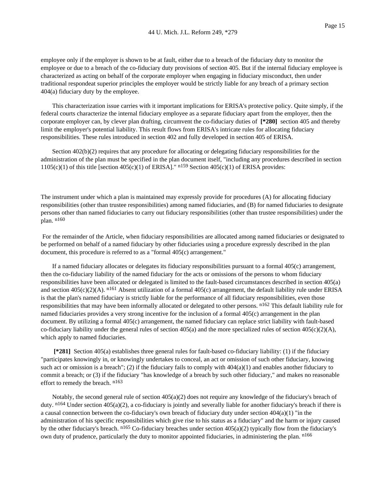employee only if the employer is shown to be at fault, either due to a breach of the fiduciary duty to monitor the employee or due to a breach of the co-fiduciary duty provisions of section 405. But if the internal fiduciary employee is characterized as acting on behalf of the corporate employer when engaging in fiduciary misconduct, then under traditional respondeat superior principles the employer would be strictly liable for any breach of a primary section 404(a) fiduciary duty by the employee.

This characterization issue carries with it important implications for ERISA's protective policy. Quite simply, if the federal courts characterize the internal fiduciary employee as a separate fiduciary apart from the employer, then the corporate employer can, by clever plan drafting, circumvent the co-fiduciary duties of **[\*280]** section 405 and thereby limit the employer's potential liability. This result flows from ERISA's intricate rules for allocating fiduciary responsibilities. These rules introduced in section 402 and fully developed in section 405 of ERISA.

Section 402(b)(2) requires that any procedure for allocating or delegating fiduciary responsibilities for the administration of the plan must be specified in the plan document itself, "including any procedures described in section  $1105(c)(1)$  of this title [section 405(c)(1) of ERISA]." n<sup>159</sup> Section 405(c)(1) of ERISA provides:

The instrument under which a plan is maintained may expressly provide for procedures (A) for allocating fiduciary responsibilities (other than trustee responsibilities) among named fiduciaries, and (B) for named fiduciaries to designate persons other than named fiduciaries to carry out fiduciary responsibilities (other than trustee responsibilities) under the plan.  $n160$ 

For the remainder of the Article, when fiduciary responsibilities are allocated among named fiduciaries or designated to be performed on behalf of a named fiduciary by other fiduciaries using a procedure expressly described in the plan document, this procedure is referred to as a "formal 405(c) arrangement."

If a named fiduciary allocates or delegates its fiduciary responsibilities pursuant to a formal 405(c) arrangement, then the co-fiduciary liability of the named fiduciary for the acts or omissions of the persons to whom fiduciary responsibilities have been allocated or delegated is limited to the fault-based circumstances described in section 405(a) and section  $405(c)(2)(A)$ . n<sup>161</sup> Absent utilization of a formal  $405(c)$  arrangement, the default liability rule under ERISA is that the plan's named fiduciary is strictly liable for the performance of all fiduciary responsibilities, even those responsibilities that may have been informally allocated or delegated to other persons. <sup>n162</sup> This default liability rule for named fiduciaries provides a very strong incentive for the inclusion of a formal 405(c) arrangement in the plan document. By utilizing a formal 405(c) arrangement, the named fiduciary can replace strict liability with fault-based co-fiduciary liability under the general rules of section  $405(a)$  and the more specialized rules of section  $405(c)(2)(A)$ , which apply to named fiduciaries.

**[\*281]** Section 405(a) establishes three general rules for fault-based co-fiduciary liability: (1) if the fiduciary "participates knowingly in, or knowingly undertakes to conceal, an act or omission of such other fiduciary, knowing such act or omission is a breach"; (2) if the fiduciary fails to comply with  $404(a)(1)$  and enables another fiduciary to commit a breach; or (3) if the fiduciary "has knowledge of a breach by such other fiduciary," and makes no reasonable effort to remedy the breach.  $n163$ 

Notably, the second general rule of section 405(a)(2) does not require any knowledge of the fiduciary's breach of duty. n<sup>164</sup> Under section 405(a)(2), a co-fiduciary is jointly and severally liable for another fiduciary's breach if there is a causal connection between the co-fiduciary's own breach of fiduciary duty under section  $404(a)(1)$  "in the administration of his specific responsibilities which give rise to his status as a fiduciary" and the harm or injury caused by the other fiduciary's breach.  $n^{165}$  Co-fiduciary breaches under section 405(a)(2) typically flow from the fiduciary's own duty of prudence, particularly the duty to monitor appointed fiduciaries, in administering the plan. n166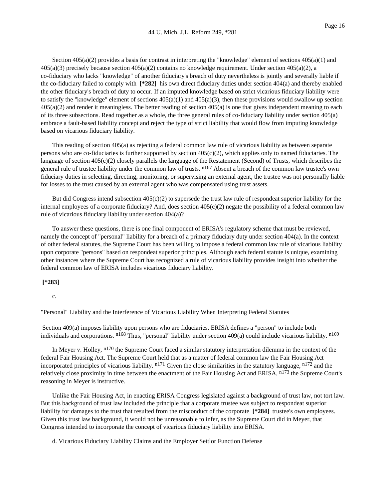Section  $405(a)(2)$  provides a basis for contrast in interpreting the "knowledge" element of sections  $405(a)(1)$  and 405(a)(3) precisely because section 405(a)(2) contains no knowledge requirement. Under section 405(a)(2), a co-fiduciary who lacks "knowledge" of another fiduciary's breach of duty nevertheless is jointly and severally liable if the co-fiduciary failed to comply with **[\*282]** his own direct fiduciary duties under section 404(a) and thereby enabled the other fiduciary's breach of duty to occur. If an imputed knowledge based on strict vicarious fiduciary liability were to satisfy the "knowledge" element of sections  $405(a)(1)$  and  $405(a)(3)$ , then these provisions would swallow up section  $405(a)(2)$  and render it meaningless. The better reading of section  $405(a)$  is one that gives independent meaning to each of its three subsections. Read together as a whole, the three general rules of co-fiduciary liability under section 405(a) embrace a fault-based liability concept and reject the type of strict liability that would flow from imputing knowledge based on vicarious fiduciary liability.

This reading of section 405(a) as rejecting a federal common law rule of vicarious liability as between separate persons who are co-fiduciaries is further supported by section  $405(c)(2)$ , which applies only to named fiduciaries. The language of section 405(c)(2) closely parallels the language of the Restatement (Second) of Trusts, which describes the general rule of trustee liability under the common law of trusts. n<sup>167</sup> Absent a breach of the common law trustee's own fiduciary duties in selecting, directing, monitoring, or supervising an external agent, the trustee was not personally liable for losses to the trust caused by an external agent who was compensated using trust assets.

But did Congress intend subsection 405(c)(2) to supersede the trust law rule of respondeat superior liability for the internal employees of a corporate fiduciary? And, does section  $405(c)(2)$  negate the possibility of a federal common law rule of vicarious fiduciary liability under section 404(a)?

To answer these questions, there is one final component of ERISA's regulatory scheme that must be reviewed, namely the concept of "personal" liability for a breach of a primary fiduciary duty under section 404(a). In the context of other federal statutes, the Supreme Court has been willing to impose a federal common law rule of vicarious liability upon corporate "persons" based on respondeat superior principles. Although each federal statute is unique, examining other instances where the Supreme Court has recognized a rule of vicarious liability provides insight into whether the federal common law of ERISA includes vicarious fiduciary liability.

#### **[\*283]**

c.

"Personal" Liability and the Interference of Vicarious Liability When Interpreting Federal Statutes

Section 409(a) imposes liability upon persons who are fiduciaries. ERISA defines a "person" to include both individuals and corporations.  $n^{168}$  Thus, "personal" liability under section 409(a) could include vicarious liability.  $n^{169}$ 

In Meyer v. Holley, <sup>n170</sup> the Supreme Court faced a similar statutory interpretation dilemma in the context of the federal Fair Housing Act. The Supreme Court held that as a matter of federal common law the Fair Housing Act incorporated principles of vicarious liability.  $n^{171}$  Given the close similarities in the statutory language,  $n^{172}$  and the relatively close proximity in time between the enactment of the Fair Housing Act and ERISA, n<sup>173</sup> the Supreme Court's reasoning in Meyer is instructive.

Unlike the Fair Housing Act, in enacting ERISA Congress legislated against a background of trust law, not tort law. But this background of trust law included the principle that a corporate trustee was subject to respondeat superior liability for damages to the trust that resulted from the misconduct of the corporate **[\*284]** trustee's own employees. Given this trust law background, it would not be unreasonable to infer, as the Supreme Court did in Meyer, that Congress intended to incorporate the concept of vicarious fiduciary liability into ERISA.

d. Vicarious Fiduciary Liability Claims and the Employer Settlor Function Defense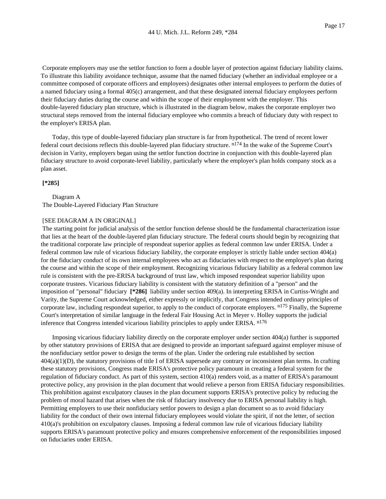Corporate employers may use the settlor function to form a double layer of protection against fiduciary liability claims. To illustrate this liability avoidance technique, assume that the named fiduciary (whether an individual employee or a committee composed of corporate officers and employees) designates other internal employees to perform the duties of a named fiduciary using a formal 405(c) arrangement, and that these designated internal fiduciary employees perform their fiduciary duties during the course and within the scope of their employment with the employer. This double-layered fiduciary plan structure, which is illustrated in the diagram below, makes the corporate employer two structural steps removed from the internal fiduciary employee who commits a breach of fiduciary duty with respect to the employer's ERISA plan.

Today, this type of double-layered fiduciary plan structure is far from hypothetical. The trend of recent lower federal court decisions reflects this double-layered plan fiduciary structure. n174 In the wake of the Supreme Court's decision in Varity, employers began using the settlor function doctrine in conjunction with this double-layered plan fiduciary structure to avoid corporate-level liability, particularly where the employer's plan holds company stock as a plan asset.

# **[\*285]**

Diagram A The Double-Layered Fiduciary Plan Structure

#### [SEE DIAGRAM A IN ORIGINAL]

The starting point for judicial analysis of the settlor function defense should be the fundamental characterization issue that lies at the heart of the double-layered plan fiduciary structure. The federal courts should begin by recognizing that the traditional corporate law principle of respondeat superior applies as federal common law under ERISA. Under a federal common law rule of vicarious fiduciary liability, the corporate employer is strictly liable under section 404(a) for the fiduciary conduct of its own internal employees who act as fiduciaries with respect to the employer's plan during the course and within the scope of their employment. Recognizing vicarious fiduciary liability as a federal common law rule is consistent with the pre-ERISA background of trust law, which imposed respondeat superior liability upon corporate trustees. Vicarious fiduciary liability is consistent with the statutory definition of a "person" and the imposition of "personal" fiduciary **[\*286]** liability under section 409(a). In interpreting ERISA in Curtiss-Wright and Varity, the Supreme Court acknowledged, either expressly or implicitly, that Congress intended ordinary principles of corporate law, including respondeat superior, to apply to the conduct of corporate employers. <sup>n175</sup> Finally, the Supreme Court's interpretation of similar language in the federal Fair Housing Act in Meyer v. Holley supports the judicial inference that Congress intended vicarious liability principles to apply under ERISA. n<sup>176</sup>

Imposing vicarious fiduciary liability directly on the corporate employer under section 404(a) further is supported by other statutory provisions of ERISA that are designed to provide an important safeguard against employer misuse of the nonfiduciary settlor power to design the terms of the plan. Under the ordering rule established by section 404(a)(1)(D), the statutory provisions of title I of ERISA supersede any contrary or inconsistent plan terms. In crafting these statutory provisions, Congress made ERISA's protective policy paramount in creating a federal system for the regulation of fiduciary conduct. As part of this system, section 410(a) renders void, as a matter of ERISA's paramount protective policy, any provision in the plan document that would relieve a person from ERISA fiduciary responsibilities. This prohibition against exculpatory clauses in the plan document supports ERISA's protective policy by reducing the problem of moral hazard that arises when the risk of fiduciary insolvency due to ERISA personal liability is high. Permitting employers to use their nonfiduciary settlor powers to design a plan document so as to avoid fiduciary liability for the conduct of their own internal fiduciary employees would violate the spirit, if not the letter, of section 410(a)'s prohibition on exculpatory clauses. Imposing a federal common law rule of vicarious fiduciary liability supports ERISA's paramount protective policy and ensures comprehensive enforcement of the responsibilities imposed on fiduciaries under ERISA.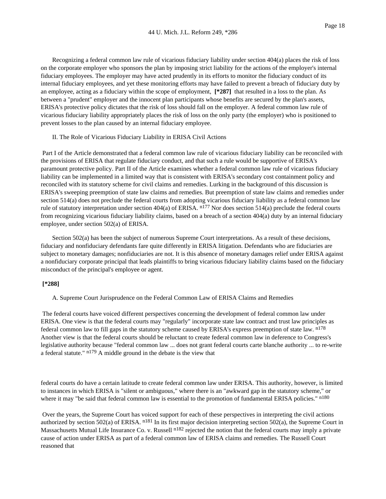Recognizing a federal common law rule of vicarious fiduciary liability under section 404(a) places the risk of loss on the corporate employer who sponsors the plan by imposing strict liability for the actions of the employer's internal fiduciary employees. The employer may have acted prudently in its efforts to monitor the fiduciary conduct of its internal fiduciary employees, and yet these monitoring efforts may have failed to prevent a breach of fiduciary duty by an employee, acting as a fiduciary within the scope of employment, **[\*287]** that resulted in a loss to the plan. As between a "prudent" employer and the innocent plan participants whose benefits are secured by the plan's assets, ERISA's protective policy dictates that the risk of loss should fall on the employer. A federal common law rule of vicarious fiduciary liability appropriately places the risk of loss on the only party (the employer) who is positioned to prevent losses to the plan caused by an internal fiduciary employee.

#### II. The Role of Vicarious Fiduciary Liability in ERISA Civil Actions

Part I of the Article demonstrated that a federal common law rule of vicarious fiduciary liability can be reconciled with the provisions of ERISA that regulate fiduciary conduct, and that such a rule would be supportive of ERISA's paramount protective policy. Part II of the Article examines whether a federal common law rule of vicarious fiduciary liability can be implemented in a limited way that is consistent with ERISA's secondary cost containment policy and reconciled with its statutory scheme for civil claims and remedies. Lurking in the background of this discussion is ERISA's sweeping preemption of state law claims and remedies. But preemption of state law claims and remedies under section 514(a) does not preclude the federal courts from adopting vicarious fiduciary liability as a federal common law rule of statutory interpretation under section 404(a) of ERISA.  $<sup>n177</sup>$  Nor does section 514(a) preclude the federal courts</sup> from recognizing vicarious fiduciary liability claims, based on a breach of a section 404(a) duty by an internal fiduciary employee, under section 502(a) of ERISA.

Section 502(a) has been the subject of numerous Supreme Court interpretations. As a result of these decisions, fiduciary and nonfiduciary defendants fare quite differently in ERISA litigation. Defendants who are fiduciaries are subject to monetary damages; nonfiduciaries are not. It is this absence of monetary damages relief under ERISA against a nonfiduciary corporate principal that leads plaintiffs to bring vicarious fiduciary liability claims based on the fiduciary misconduct of the principal's employee or agent.

#### **[\*288]**

A. Supreme Court Jurisprudence on the Federal Common Law of ERISA Claims and Remedies

The federal courts have voiced different perspectives concerning the development of federal common law under ERISA. One view is that the federal courts may "regularly" incorporate state law contract and trust law principles as federal common law to fill gaps in the statutory scheme caused by ERISA's express preemption of state law. n178 Another view is that the federal courts should be reluctant to create federal common law in deference to Congress's legislative authority because "federal common law ... does not grant federal courts carte blanche authority ... to re-write a federal statute." n179 A middle ground in the debate is the view that

federal courts do have a certain latitude to create federal common law under ERISA. This authority, however, is limited to instances in which ERISA is "silent or ambiguous," where there is an "awkward gap in the statutory scheme," or where it may "be said that federal common law is essential to the promotion of fundamental ERISA policies." n180

Over the years, the Supreme Court has voiced support for each of these perspectives in interpreting the civil actions authorized by section 502(a) of ERISA.  $n^{181}$  In its first major decision interpreting section 502(a), the Supreme Court in Massachusetts Mutual Life Insurance Co. v. Russell <sup>n182</sup> rejected the notion that the federal courts may imply a private cause of action under ERISA as part of a federal common law of ERISA claims and remedies. The Russell Court reasoned that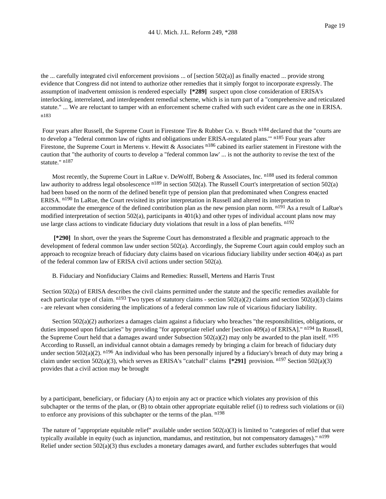the ... carefully integrated civil enforcement provisions ... of [section 502(a)] as finally enacted ... provide strong evidence that Congress did not intend to authorize other remedies that it simply forgot to incorporate expressly. The assumption of inadvertent omission is rendered especially **[\*289]** suspect upon close consideration of ERISA's interlocking, interrelated, and interdependent remedial scheme, which is in turn part of a "comprehensive and reticulated statute." ... We are reluctant to tamper with an enforcement scheme crafted with such evident care as the one in ERISA. n183

Four years after Russell, the Supreme Court in Firestone Tire & Rubber Co. v. Bruch n184 declared that the "courts are to develop a "federal common law of rights and obligations under ERISA-regulated plans." n185 Four years after Firestone, the Supreme Court in Mertens v. Hewitt & Associates n<sup>186</sup> cabined its earlier statement in Firestone with the caution that "the authority of courts to develop a "federal common law' ... is not the authority to revise the text of the statute." n187

Most recently, the Supreme Court in LaRue v. DeWolff, Boberg & Associates, Inc. n188 used its federal common law authority to address legal obsolescence  $n^{189}$  in section 502(a). The Russell Court's interpretation of section 502(a) had been based on the norm of the defined benefit type of pension plan that predominated when Congress enacted ERISA. n190 In LaRue, the Court revisited its prior interpretation in Russell and altered its interpretation to accommodate the emergence of the defined contribution plan as the new pension plan norm. n<sup>191</sup> As a result of LaRue's modified interpretation of section 502(a), participants in  $401(k)$  and other types of individual account plans now may use large class actions to vindicate fiduciary duty violations that result in a loss of plan benefits. n<sup>192</sup>

**[\*290]** In short, over the years the Supreme Court has demonstrated a flexible and pragmatic approach to the development of federal common law under section 502(a). Accordingly, the Supreme Court again could employ such an approach to recognize breach of fiduciary duty claims based on vicarious fiduciary liability under section 404(a) as part of the federal common law of ERISA civil actions under section 502(a).

B. Fiduciary and Nonfiduciary Claims and Remedies: Russell, Mertens and Harris Trust

Section 502(a) of ERISA describes the civil claims permitted under the statute and the specific remedies available for each particular type of claim. n<sup>193</sup> Two types of statutory claims - section 502(a)(2) claims and section 502(a)(3) claims - are relevant when considering the implications of a federal common law rule of vicarious fiduciary liability.

Section 502(a)(2) authorizes a damages claim against a fiduciary who breaches "the responsibilities, obligations, or duties imposed upon fiduciaries" by providing "for appropriate relief under [section 409(a) of ERISA]." <sup>n194</sup> In Russell, the Supreme Court held that a damages award under Subsection  $502(a)(2)$  may only be awarded to the plan itself.  $n^{195}$ According to Russell, an individual cannot obtain a damages remedy by bringing a claim for breach of fiduciary duty under section 502(a)(2). <sup>n196</sup> An individual who has been personally injured by a fiduciary's breach of duty may bring a claim under section 502(a)(3), which serves as ERISA's "catchall" claims **[\*291]** provision. n197 Section 502(a)(3) provides that a civil action may be brought

by a participant, beneficiary, or fiduciary (A) to enjoin any act or practice which violates any provision of this subchapter or the terms of the plan, or (B) to obtain other appropriate equitable relief (i) to redress such violations or (ii) to enforce any provisions of this subchapter or the terms of the plan. n<sup>198</sup>

The nature of "appropriate equitable relief" available under section  $502(a)(3)$  is limited to "categories of relief that were typically available in equity (such as injunction, mandamus, and restitution, but not compensatory damages)." <sup>n199</sup> Relief under section 502(a)(3) thus excludes a monetary damages award, and further excludes subterfuges that would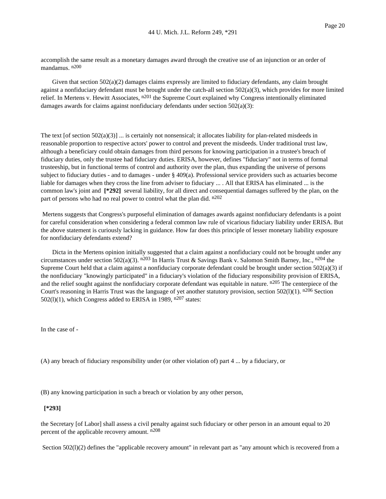accomplish the same result as a monetary damages award through the creative use of an injunction or an order of mandamus. n200

Given that section 502(a)(2) damages claims expressly are limited to fiduciary defendants, any claim brought against a nonfiduciary defendant must be brought under the catch-all section  $502(a)(3)$ , which provides for more limited relief. In Mertens v. Hewitt Associates,  $n^{201}$  the Supreme Court explained why Congress intentionally eliminated damages awards for claims against nonfiduciary defendants under section  $502(a)(3)$ :

The text [of section  $502(a)(3)$ ] ... is certainly not nonsensical; it allocates liability for plan-related misdeeds in reasonable proportion to respective actors' power to control and prevent the misdeeds. Under traditional trust law, although a beneficiary could obtain damages from third persons for knowing participation in a trustee's breach of fiduciary duties, only the trustee had fiduciary duties. ERISA, however, defines "fiduciary" not in terms of formal trusteeship, but in functional terms of control and authority over the plan, thus expanding the universe of persons subject to fiduciary duties - and to damages - under § 409(a). Professional service providers such as actuaries become liable for damages when they cross the line from adviser to fiduciary ... . All that ERISA has eliminated ... is the common law's joint and **[\*292]** several liability, for all direct and consequential damages suffered by the plan, on the part of persons who had no real power to control what the plan did. n<sup>202</sup>

Mertens suggests that Congress's purposeful elimination of damages awards against nonfiduciary defendants is a point for careful consideration when considering a federal common law rule of vicarious fiduciary liability under ERISA. But the above statement is curiously lacking in guidance. How far does this principle of lesser monetary liability exposure for nonfiduciary defendants extend?

Dicta in the Mertens opinion initially suggested that a claim against a nonfiduciary could not be brought under any circumstances under section 502(a)(3).  $n^{203}$  In Harris Trust & Savings Bank v. Salomon Smith Barney, Inc.,  $n^{204}$  the Supreme Court held that a claim against a nonfiduciary corporate defendant could be brought under section  $502(a)(3)$  if the nonfiduciary "knowingly participated" in a fiduciary's violation of the fiduciary responsibility provision of ERISA, and the relief sought against the nonfiduciary corporate defendant was equitable in nature. n<sup>205</sup> The centerpiece of the Court's reasoning in Harris Trust was the language of yet another statutory provision, section 502(l)(1).  $n^{206}$  Section 502(1)(1), which Congress added to ERISA in 1989, n<sup>207</sup> states:

In the case of -

(A) any breach of fiduciary responsibility under (or other violation of) part 4 ... by a fiduciary, or

(B) any knowing participation in such a breach or violation by any other person,

#### **[\*293]**

the Secretary [of Labor] shall assess a civil penalty against such fiduciary or other person in an amount equal to 20 percent of the applicable recovery amount. n208

Section 502(l)(2) defines the "applicable recovery amount" in relevant part as "any amount which is recovered from a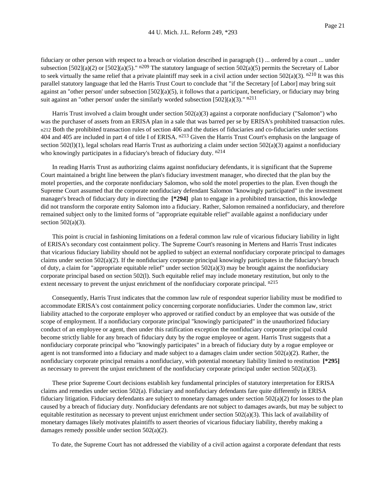fiduciary or other person with respect to a breach or violation described in paragraph (1) ... ordered by a court ... under subsection  $[502](a)(2)$  or  $[502](a)(5)$ ." n<sup>209</sup> The statutory language of section  $502(a)(5)$  permits the Secretary of Labor to seek virtually the same relief that a private plaintiff may seek in a civil action under section 502(a)(3).  $n^{210}$  It was this parallel statutory language that led the Harris Trust Court to conclude that "if the Secretary [of Labor] may bring suit against an "other person' under subsection  $[502](a)(5)$ , it follows that a participant, beneficiary, or fiduciary may bring suit against an "other person' under the similarly worded subsection  $[502](a)(3)$ ." n<sup>211</sup>

Harris Trust involved a claim brought under section 502(a)(3) against a corporate nonfiduciary ("Salomon") who was the purchaser of assets from an ERISA plan in a sale that was barred per se by ERISA's prohibited transaction rules. n212 Both the prohibited transaction rules of section 406 and the duties of fiduciaries and co-fiduciaries under sections 404 and 405 are included in part 4 of title I of ERISA. n<sup>213</sup> Given the Harris Trust Court's emphasis on the language of section  $502(1)(1)$ , legal scholars read Harris Trust as authorizing a claim under section  $502(a)(3)$  against a nonfiduciary who knowingly participates in a fiduciary's breach of fiduciary duty.  $n214$ 

In reading Harris Trust as authorizing claims against nonfiduciary defendants, it is significant that the Supreme Court maintained a bright line between the plan's fiduciary investment manager, who directed that the plan buy the motel properties, and the corporate nonfiduciary Salomon, who sold the motel properties to the plan. Even though the Supreme Court assumed that the corporate nonfiduciary defendant Salomon "knowingly participated" in the investment manager's breach of fiduciary duty in directing the **[\*294]** plan to engage in a prohibited transaction, this knowledge did not transform the corporate entity Salomon into a fiduciary. Rather, Salomon remained a nonfiduciary, and therefore remained subject only to the limited forms of "appropriate equitable relief" available against a nonfiduciary under section  $502(a)(3)$ .

This point is crucial in fashioning limitations on a federal common law rule of vicarious fiduciary liability in light of ERISA's secondary cost containment policy. The Supreme Court's reasoning in Mertens and Harris Trust indicates that vicarious fiduciary liability should not be applied to subject an external nonfiduciary corporate principal to damages claims under section 502(a)(2). If the nonfiduciary corporate principal knowingly participates in the fiduciary's breach of duty, a claim for "appropriate equitable relief" under section  $502(a)(3)$  may be brought against the nonfiduciary corporate principal based on section 502(l). Such equitable relief may include monetary restitution, but only to the extent necessary to prevent the unjust enrichment of the nonfiduciary corporate principal. n<sup>215</sup>

Consequently, Harris Trust indicates that the common law rule of respondeat superior liability must be modified to accommodate ERISA's cost containment policy concerning corporate nonfiduciaries. Under the common law, strict liability attached to the corporate employer who approved or ratified conduct by an employee that was outside of the scope of employment. If a nonfiduciary corporate principal "knowingly participated" in the unauthorized fiduciary conduct of an employee or agent, then under this ratification exception the nonfiduciary corporate principal could become strictly liable for any breach of fiduciary duty by the rogue employee or agent. Harris Trust suggests that a nonfiduciary corporate principal who "knowingly participates" in a breach of fiduciary duty by a rogue employee or agent is not transformed into a fiduciary and made subject to a damages claim under section  $502(a)(2)$ . Rather, the nonfiduciary corporate principal remains a nonfiduciary, with potential monetary liability limited to restitution **[\*295]** as necessary to prevent the unjust enrichment of the nonfiduciary corporate principal under section  $502(a)(3)$ .

These prior Supreme Court decisions establish key fundamental principles of statutory interpretation for ERISA claims and remedies under section 502(a). Fiduciary and nonfiduciary defendants fare quite differently in ERISA fiduciary litigation. Fiduciary defendants are subject to monetary damages under section 502(a)(2) for losses to the plan caused by a breach of fiduciary duty. Nonfiduciary defendants are not subject to damages awards, but may be subject to equitable restitution as necessary to prevent unjust enrichment under section  $502(a)(3)$ . This lack of availability of monetary damages likely motivates plaintiffs to assert theories of vicarious fiduciary liability, thereby making a damages remedy possible under section 502(a)(2).

To date, the Supreme Court has not addressed the viability of a civil action against a corporate defendant that rests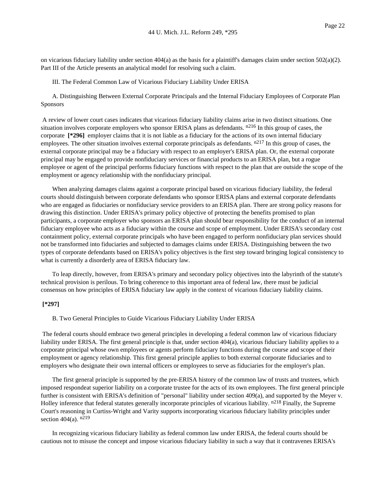on vicarious fiduciary liability under section  $404(a)$  as the basis for a plaintiff's damages claim under section  $502(a)(2)$ . Part III of the Article presents an analytical model for resolving such a claim.

III. The Federal Common Law of Vicarious Fiduciary Liability Under ERISA

A. Distinguishing Between External Corporate Principals and the Internal Fiduciary Employees of Corporate Plan Sponsors

A review of lower court cases indicates that vicarious fiduciary liability claims arise in two distinct situations. One situation involves corporate employers who sponsor ERISA plans as defendants. <sup>n216</sup> In this group of cases, the corporate **[\*296]** employer claims that it is not liable as a fiduciary for the actions of its own internal fiduciary employees. The other situation involves external corporate principals as defendants.  $n^{217}$  In this group of cases, the external corporate principal may be a fiduciary with respect to an employer's ERISA plan. Or, the external corporate principal may be engaged to provide nonfiduciary services or financial products to an ERISA plan, but a rogue employee or agent of the principal performs fiduciary functions with respect to the plan that are outside the scope of the employment or agency relationship with the nonfiduciary principal.

When analyzing damages claims against a corporate principal based on vicarious fiduciary liability, the federal courts should distinguish between corporate defendants who sponsor ERISA plans and external corporate defendants who are engaged as fiduciaries or nonfiduciary service providers to an ERISA plan. There are strong policy reasons for drawing this distinction. Under ERISA's primary policy objective of protecting the benefits promised to plan participants, a corporate employer who sponsors an ERISA plan should bear responsibility for the conduct of an internal fiduciary employee who acts as a fiduciary within the course and scope of employment. Under ERISA's secondary cost containment policy, external corporate principals who have been engaged to perform nonfiduciary plan services should not be transformed into fiduciaries and subjected to damages claims under ERISA. Distinguishing between the two types of corporate defendants based on ERISA's policy objectives is the first step toward bringing logical consistency to what is currently a disorderly area of ERISA fiduciary law.

To leap directly, however, from ERISA's primary and secondary policy objectives into the labyrinth of the statute's technical provision is perilous. To bring coherence to this important area of federal law, there must be judicial consensus on how principles of ERISA fiduciary law apply in the context of vicarious fiduciary liability claims.

# **[\*297]**

B. Two General Principles to Guide Vicarious Fiduciary Liability Under ERISA

The federal courts should embrace two general principles in developing a federal common law of vicarious fiduciary liability under ERISA. The first general principle is that, under section 404(a), vicarious fiduciary liability applies to a corporate principal whose own employees or agents perform fiduciary functions during the course and scope of their employment or agency relationship. This first general principle applies to both external corporate fiduciaries and to employers who designate their own internal officers or employees to serve as fiduciaries for the employer's plan.

The first general principle is supported by the pre-ERISA history of the common law of trusts and trustees, which imposed respondeat superior liability on a corporate trustee for the acts of its own employees. The first general principle further is consistent with ERISA's definition of "personal" liability under section 409(a), and supported by the Meyer v. Holley inference that federal statutes generally incorporate principles of vicarious liability. n<sup>218</sup> Finally, the Supreme Court's reasoning in Curtiss-Wright and Varity supports incorporating vicarious fiduciary liability principles under section  $404(a)$ .  $n219$ 

In recognizing vicarious fiduciary liability as federal common law under ERISA, the federal courts should be cautious not to misuse the concept and impose vicarious fiduciary liability in such a way that it contravenes ERISA's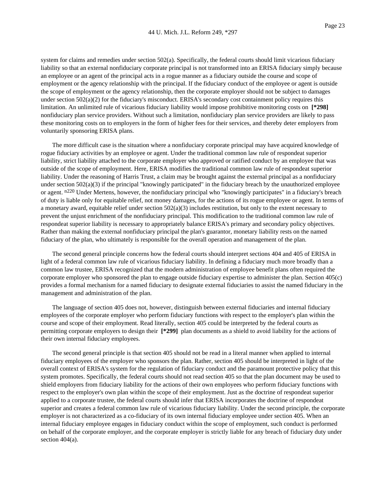system for claims and remedies under section 502(a). Specifically, the federal courts should limit vicarious fiduciary liability so that an external nonfiduciary corporate principal is not transformed into an ERISA fiduciary simply because an employee or an agent of the principal acts in a rogue manner as a fiduciary outside the course and scope of employment or the agency relationship with the principal. If the fiduciary conduct of the employee or agent is outside the scope of employment or the agency relationship, then the corporate employer should not be subject to damages under section 502(a)(2) for the fiduciary's misconduct. ERISA's secondary cost containment policy requires this limitation. An unlimited rule of vicarious fiduciary liability would impose prohibitive monitoring costs on **[\*298]** nonfiduciary plan service providers. Without such a limitation, nonfiduciary plan service providers are likely to pass these monitoring costs on to employers in the form of higher fees for their services, and thereby deter employers from voluntarily sponsoring ERISA plans.

The more difficult case is the situation where a nonfiduciary corporate principal may have acquired knowledge of rogue fiduciary activities by an employee or agent. Under the traditional common law rule of respondeat superior liability, strict liability attached to the corporate employer who approved or ratified conduct by an employee that was outside of the scope of employment. Here, ERISA modifies the traditional common law rule of respondeat superior liability. Under the reasoning of Harris Trust, a claim may be brought against the external principal as a nonfiduciary under section  $502(a)(3)$  if the principal "knowingly participated" in the fiduciary breach by the unauthorized employee or agent. n<sup>220</sup> Under Mertens, however, the nonfiduciary principal who "knowingly participates" in a fiduciary's breach of duty is liable only for equitable relief, not money damages, for the actions of its rogue employee or agent. In terms of a monetary award, equitable relief under section  $502(a)(3)$  includes restitution, but only to the extent necessary to prevent the unjust enrichment of the nonfiduciary principal. This modification to the traditional common law rule of respondeat superior liability is necessary to appropriately balance ERISA's primary and secondary policy objectives. Rather than making the external nonfiduciary principal the plan's guarantor, monetary liability rests on the named fiduciary of the plan, who ultimately is responsible for the overall operation and management of the plan.

The second general principle concerns how the federal courts should interpret sections 404 and 405 of ERISA in light of a federal common law rule of vicarious fiduciary liability. In defining a fiduciary much more broadly than a common law trustee, ERISA recognized that the modern administration of employee benefit plans often required the corporate employer who sponsored the plan to engage outside fiduciary expertise to administer the plan. Section 405(c) provides a formal mechanism for a named fiduciary to designate external fiduciaries to assist the named fiduciary in the management and administration of the plan.

The language of section 405 does not, however, distinguish between external fiduciaries and internal fiduciary employees of the corporate employer who perform fiduciary functions with respect to the employer's plan within the course and scope of their employment. Read literally, section 405 could be interpreted by the federal courts as permitting corporate employers to design their **[\*299]** plan documents as a shield to avoid liability for the actions of their own internal fiduciary employees.

The second general principle is that section 405 should not be read in a literal manner when applied to internal fiduciary employees of the employer who sponsors the plan. Rather, section 405 should be interpreted in light of the overall context of ERISA's system for the regulation of fiduciary conduct and the paramount protective policy that this system promotes. Specifically, the federal courts should not read section 405 so that the plan document may be used to shield employers from fiduciary liability for the actions of their own employees who perform fiduciary functions with respect to the employer's own plan within the scope of their employment. Just as the doctrine of respondeat superior applied to a corporate trustee, the federal courts should infer that ERISA incorporates the doctrine of respondeat superior and creates a federal common law rule of vicarious fiduciary liability. Under the second principle, the corporate employer is not characterized as a co-fiduciary of its own internal fiduciary employee under section 405. When an internal fiduciary employee engages in fiduciary conduct within the scope of employment, such conduct is performed on behalf of the corporate employer, and the corporate employer is strictly liable for any breach of fiduciary duty under section 404(a).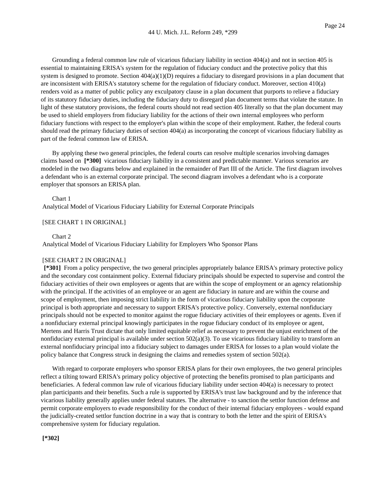Grounding a federal common law rule of vicarious fiduciary liability in section 404(a) and not in section 405 is essential to maintaining ERISA's system for the regulation of fiduciary conduct and the protective policy that this system is designed to promote. Section  $404(a)(1)(D)$  requires a fiduciary to disregard provisions in a plan document that are inconsistent with ERISA's statutory scheme for the regulation of fiduciary conduct. Moreover, section 410(a) renders void as a matter of public policy any exculpatory clause in a plan document that purports to relieve a fiduciary of its statutory fiduciary duties, including the fiduciary duty to disregard plan document terms that violate the statute. In light of these statutory provisions, the federal courts should not read section 405 literally so that the plan document may be used to shield employers from fiduciary liability for the actions of their own internal employees who perform fiduciary functions with respect to the employer's plan within the scope of their employment. Rather, the federal courts should read the primary fiduciary duties of section 404(a) as incorporating the concept of vicarious fiduciary liability as part of the federal common law of ERISA.

By applying these two general principles, the federal courts can resolve multiple scenarios involving damages claims based on **[\*300]** vicarious fiduciary liability in a consistent and predictable manner. Various scenarios are modeled in the two diagrams below and explained in the remainder of Part III of the Article. The first diagram involves a defendant who is an external corporate principal. The second diagram involves a defendant who is a corporate employer that sponsors an ERISA plan.

Chart 1

Analytical Model of Vicarious Fiduciary Liability for External Corporate Principals

# [SEE CHART 1 IN ORIGINAL]

Chart 2

Analytical Model of Vicarious Fiduciary Liability for Employers Who Sponsor Plans

# [SEE CHART 2 IN ORIGINAL]

**[\*301]** From a policy perspective, the two general principles appropriately balance ERISA's primary protective policy and the secondary cost containment policy. External fiduciary principals should be expected to supervise and control the fiduciary activities of their own employees or agents that are within the scope of employment or an agency relationship with the principal. If the activities of an employee or an agent are fiduciary in nature and are within the course and scope of employment, then imposing strict liability in the form of vicarious fiduciary liability upon the corporate principal is both appropriate and necessary to support ERISA's protective policy. Conversely, external nonfiduciary principals should not be expected to monitor against the rogue fiduciary activities of their employees or agents. Even if a nonfiduciary external principal knowingly participates in the rogue fiduciary conduct of its employee or agent, Mertens and Harris Trust dictate that only limited equitable relief as necessary to prevent the unjust enrichment of the nonfiduciary external principal is available under section  $502(a)(3)$ . To use vicarious fiduciary liability to transform an external nonfiduciary principal into a fiduciary subject to damages under ERISA for losses to a plan would violate the policy balance that Congress struck in designing the claims and remedies system of section 502(a).

With regard to corporate employers who sponsor ERISA plans for their own employees, the two general principles reflect a tilting toward ERISA's primary policy objective of protecting the benefits promised to plan participants and beneficiaries. A federal common law rule of vicarious fiduciary liability under section 404(a) is necessary to protect plan participants and their benefits. Such a rule is supported by ERISA's trust law background and by the inference that vicarious liability generally applies under federal statutes. The alternative - to sanction the settlor function defense and permit corporate employers to evade responsibility for the conduct of their internal fiduciary employees - would expand the judicially-created settlor function doctrine in a way that is contrary to both the letter and the spirit of ERISA's comprehensive system for fiduciary regulation.

**[\*302]**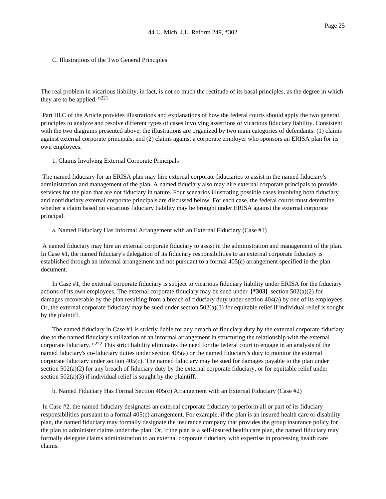# C. Illustrations of the Two General Principles

The real problem in vicarious liability, in fact, is not so much the rectitude of its basal principles, as the degree in which they are to be applied. n221

Part III.C of the Article provides illustrations and explanations of how the federal courts should apply the two general principles to analyze and resolve different types of cases involving assertions of vicarious fiduciary liability. Consistent with the two diagrams presented above, the illustrations are organized by two main categories of defendants: (1) claims against external corporate principals; and (2) claims against a corporate employer who sponsors an ERISA plan for its own employees.

1. Claims Involving External Corporate Principals

The named fiduciary for an ERISA plan may hire external corporate fiduciaries to assist in the named fiduciary's administration and management of the plan. A named fiduciary also may hire external corporate principals to provide services for the plan that are not fiduciary in nature. Four scenarios illustrating possible cases involving both fiduciary and nonfiduciary external corporate principals are discussed below. For each case, the federal courts must determine whether a claim based on vicarious fiduciary liability may be brought under ERISA against the external corporate principal.

a. Named Fiduciary Has Informal Arrangement with an External Fiduciary (Case #1)

A named fiduciary may hire an external corporate fiduciary to assist in the administration and management of the plan. In Case #1, the named fiduciary's delegation of its fiduciary responsibilities to an external corporate fiduciary is established through an informal arrangement and not pursuant to a formal 405(c) arrangement specified in the plan document.

In Case #1, the external corporate fiduciary is subject to vicarious fiduciary liability under ERISA for the fiduciary actions of its own employees. The external corporate fiduciary may be sued under **[\*303]** section 502(a)(2) for damages recoverable by the plan resulting from a breach of fiduciary duty under section 404(a) by one of its employees. Or, the external corporate fiduciary may be sued under section  $502(a)(3)$  for equitable relief if individual relief is sought by the plaintiff.

The named fiduciary in Case #1 is strictly liable for any breach of fiduciary duty by the external corporate fiduciary due to the named fiduciary's utilization of an informal arrangement in structuring the relationship with the external corporate fiduciary. <sup>n222</sup> This strict liability eliminates the need for the federal court to engage in an analysis of the named fiduciary's co-fiduciary duties under section 405(a) or the named fiduciary's duty to monitor the external corporate fiduciary under section 405(c). The named fiduciary may be sued for damages payable to the plan under section  $502(a)(2)$  for any breach of fiduciary duty by the external corporate fiduciary, or for equitable relief under section  $502(a)(3)$  if individual relief is sought by the plaintiff.

b. Named Fiduciary Has Formal Section 405(c) Arrangement with an External Fiduciary (Case #2)

In Case #2, the named fiduciary designates an external corporate fiduciary to perform all or part of its fiduciary responsibilities pursuant to a formal 405(c) arrangement. For example, if the plan is an insured health care or disability plan, the named fiduciary may formally designate the insurance company that provides the group insurance policy for the plan to administer claims under the plan. Or, if the plan is a self-insured health care plan, the named fiduciary may formally delegate claims administration to an external corporate fiduciary with expertise in processing health care claims.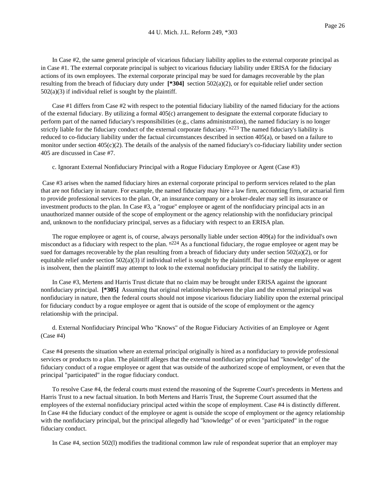In Case #2, the same general principle of vicarious fiduciary liability applies to the external corporate principal as in Case #1. The external corporate principal is subject to vicarious fiduciary liability under ERISA for the fiduciary actions of its own employees. The external corporate principal may be sued for damages recoverable by the plan resulting from the breach of fiduciary duty under **[\*304]** section 502(a)(2), or for equitable relief under section  $502(a)(3)$  if individual relief is sought by the plaintiff.

Case #1 differs from Case #2 with respect to the potential fiduciary liability of the named fiduciary for the actions of the external fiduciary. By utilizing a formal 405(c) arrangement to designate the external corporate fiduciary to perform part of the named fiduciary's responsibilities (e.g., clams administration), the named fiduciary is no longer strictly liable for the fiduciary conduct of the external corporate fiduciary. n223 The named fiduciary's liability is reduced to co-fiduciary liability under the factual circumstances described in section 405(a), or based on a failure to monitor under section  $405(c)(2)$ . The details of the analysis of the named fiduciary's co-fiduciary liability under section 405 are discussed in Case #7.

c. Ignorant External Nonfiduciary Principal with a Rogue Fiduciary Employee or Agent (Case #3)

Case #3 arises when the named fiduciary hires an external corporate principal to perform services related to the plan that are not fiduciary in nature. For example, the named fiduciary may hire a law firm, accounting firm, or actuarial firm to provide professional services to the plan. Or, an insurance company or a broker-dealer may sell its insurance or investment products to the plan. In Case #3, a "rogue" employee or agent of the nonfiduciary principal acts in an unauthorized manner outside of the scope of employment or the agency relationship with the nonfiduciary principal and, unknown to the nonfiduciary principal, serves as a fiduciary with respect to an ERISA plan.

The rogue employee or agent is, of course, always personally liable under section 409(a) for the individual's own misconduct as a fiduciary with respect to the plan.  $n^{224}$  As a functional fiduciary, the rogue employee or agent may be sued for damages recoverable by the plan resulting from a breach of fiduciary duty under section 502(a)(2), or for equitable relief under section  $502(a)(3)$  if individual relief is sought by the plaintiff. But if the rogue employee or agent is insolvent, then the plaintiff may attempt to look to the external nonfiduciary principal to satisfy the liability.

In Case #3, Mertens and Harris Trust dictate that no claim may be brought under ERISA against the ignorant nonfiduciary principal. **[\*305]** Assuming that original relationship between the plan and the external principal was nonfiduciary in nature, then the federal courts should not impose vicarious fiduciary liability upon the external principal for fiduciary conduct by a rogue employee or agent that is outside of the scope of employment or the agency relationship with the principal.

d. External Nonfiduciary Principal Who "Knows" of the Rogue Fiduciary Activities of an Employee or Agent (Case #4)

Case #4 presents the situation where an external principal originally is hired as a nonfiduciary to provide professional services or products to a plan. The plaintiff alleges that the external nonfiduciary principal had "knowledge" of the fiduciary conduct of a rogue employee or agent that was outside of the authorized scope of employment, or even that the principal "participated" in the rogue fiduciary conduct.

To resolve Case #4, the federal courts must extend the reasoning of the Supreme Court's precedents in Mertens and Harris Trust to a new factual situation. In both Mertens and Harris Trust, the Supreme Court assumed that the employees of the external nonfiduciary principal acted within the scope of employment. Case #4 is distinctly different. In Case #4 the fiduciary conduct of the employee or agent is outside the scope of employment or the agency relationship with the nonfiduciary principal, but the principal allegedly had "knowledge" of or even "participated" in the rogue fiduciary conduct.

In Case #4, section 502(l) modifies the traditional common law rule of respondeat superior that an employer may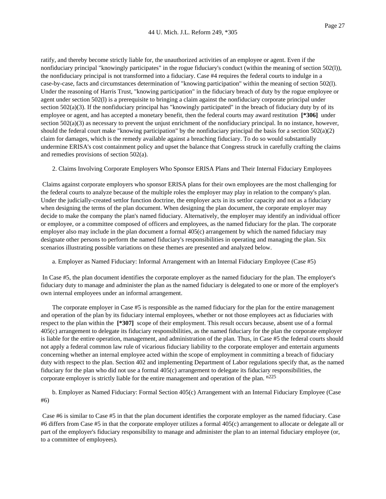ratify, and thereby become strictly liable for, the unauthorized activities of an employee or agent. Even if the nonfiduciary principal "knowingly participates" in the rogue fiduciary's conduct (within the meaning of section 502(l)), the nonfiduciary principal is not transformed into a fiduciary. Case #4 requires the federal courts to indulge in a case-by-case, facts and circumstances determination of "knowing participation" within the meaning of section 502(l). Under the reasoning of Harris Trust, "knowing participation" in the fiduciary breach of duty by the rogue employee or agent under section 502(l) is a prerequisite to bringing a claim against the nonfiduciary corporate principal under section  $502(a)(3)$ . If the nonfiduciary principal has "knowingly participated" in the breach of fiduciary duty by of its employee or agent, and has accepted a monetary benefit, then the federal courts may award restitution **[\*306]** under section  $502(a)(3)$  as necessary to prevent the unjust enrichment of the nonfiduciary principal. In no instance, however, should the federal court make "knowing participation" by the nonfiduciary principal the basis for a section  $502(a)(2)$ claim for damages, which is the remedy available against a breaching fiduciary. To do so would substantially undermine ERISA's cost containment policy and upset the balance that Congress struck in carefully crafting the claims and remedies provisions of section 502(a).

2. Claims Involving Corporate Employers Who Sponsor ERISA Plans and Their Internal Fiduciary Employees

Claims against corporate employers who sponsor ERISA plans for their own employees are the most challenging for the federal courts to analyze because of the multiple roles the employer may play in relation to the company's plan. Under the judicially-created settlor function doctrine, the employer acts in its settlor capacity and not as a fiduciary when designing the terms of the plan document. When designing the plan document, the corporate employer may decide to make the company the plan's named fiduciary. Alternatively, the employer may identify an individual officer or employee, or a committee composed of officers and employees, as the named fiduciary for the plan. The corporate employer also may include in the plan document a formal 405(c) arrangement by which the named fiduciary may designate other persons to perform the named fiduciary's responsibilities in operating and managing the plan. Six scenarios illustrating possible variations on these themes are presented and analyzed below.

# a. Employer as Named Fiduciary: Informal Arrangement with an Internal Fiduciary Employee (Case #5)

In Case #5, the plan document identifies the corporate employer as the named fiduciary for the plan. The employer's fiduciary duty to manage and administer the plan as the named fiduciary is delegated to one or more of the employer's own internal employees under an informal arrangement.

The corporate employer in Case #5 is responsible as the named fiduciary for the plan for the entire management and operation of the plan by its fiduciary internal employees, whether or not those employees act as fiduciaries with respect to the plan within the **[\*307]** scope of their employment. This result occurs because, absent use of a formal 405(c) arrangement to delegate its fiduciary responsibilities, as the named fiduciary for the plan the corporate employer is liable for the entire operation, management, and administration of the plan. Thus, in Case #5 the federal courts should not apply a federal common law rule of vicarious fiduciary liability to the corporate employer and entertain arguments concerning whether an internal employee acted within the scope of employment in committing a breach of fiduciary duty with respect to the plan. Section 402 and implementing Department of Labor regulations specify that, as the named fiduciary for the plan who did not use a formal 405(c) arrangement to delegate its fiduciary responsibilities, the corporate employer is strictly liable for the entire management and operation of the plan. n<sup>225</sup>

b. Employer as Named Fiduciary: Formal Section 405(c) Arrangement with an Internal Fiduciary Employee (Case #6)

Case #6 is similar to Case #5 in that the plan document identifies the corporate employer as the named fiduciary. Case #6 differs from Case #5 in that the corporate employer utilizes a formal 405(c) arrangement to allocate or delegate all or part of the employer's fiduciary responsibility to manage and administer the plan to an internal fiduciary employee (or, to a committee of employees).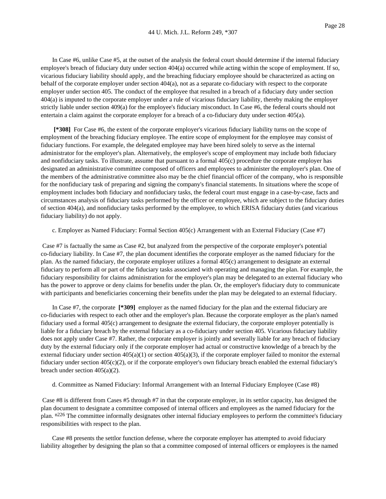In Case #6, unlike Case #5, at the outset of the analysis the federal court should determine if the internal fiduciary employee's breach of fiduciary duty under section 404(a) occurred while acting within the scope of employment. If so, vicarious fiduciary liability should apply, and the breaching fiduciary employee should be characterized as acting on behalf of the corporate employer under section 404(a), not as a separate co-fiduciary with respect to the corporate employer under section 405. The conduct of the employee that resulted in a breach of a fiduciary duty under section 404(a) is imputed to the corporate employer under a rule of vicarious fiduciary liability, thereby making the employer strictly liable under section 409(a) for the employee's fiduciary misconduct. In Case #6, the federal courts should not entertain a claim against the corporate employer for a breach of a co-fiduciary duty under section 405(a).

**[\*308]** For Case #6, the extent of the corporate employer's vicarious fiduciary liability turns on the scope of employment of the breaching fiduciary employee. The entire scope of employment for the employee may consist of fiduciary functions. For example, the delegated employee may have been hired solely to serve as the internal administrator for the employer's plan. Alternatively, the employee's scope of employment may include both fiduciary and nonfiduciary tasks. To illustrate, assume that pursuant to a formal 405(c) procedure the corporate employer has designated an administrative committee composed of officers and employees to administer the employer's plan. One of the members of the administrative committee also may be the chief financial officer of the company, who is responsible for the nonfiduciary task of preparing and signing the company's financial statements. In situations where the scope of employment includes both fiduciary and nonfiduciary tasks, the federal court must engage in a case-by-case, facts and circumstances analysis of fiduciary tasks performed by the officer or employee, which are subject to the fiduciary duties of section 404(a), and nonfiduciary tasks performed by the employee, to which ERISA fiduciary duties (and vicarious fiduciary liability) do not apply.

c. Employer as Named Fiduciary: Formal Section 405(c) Arrangement with an External Fiduciary (Case #7)

Case #7 is factually the same as Case #2, but analyzed from the perspective of the corporate employer's potential co-fiduciary liability. In Case #7, the plan document identifies the corporate employer as the named fiduciary for the plan. As the named fiduciary, the corporate employer utilizes a formal 405(c) arrangement to designate an external fiduciary to perform all or part of the fiduciary tasks associated with operating and managing the plan. For example, the fiduciary responsibility for claims administration for the employer's plan may be delegated to an external fiduciary who has the power to approve or deny claims for benefits under the plan. Or, the employer's fiduciary duty to communicate with participants and beneficiaries concerning their benefits under the plan may be delegated to an external fiduciary.

In Case #7, the corporate **[\*309]** employer as the named fiduciary for the plan and the external fiduciary are co-fiduciaries with respect to each other and the employer's plan. Because the corporate employer as the plan's named fiduciary used a formal 405(c) arrangement to designate the external fiduciary, the corporate employer potentially is liable for a fiduciary breach by the external fiduciary as a co-fiduciary under section 405. Vicarious fiduciary liability does not apply under Case #7. Rather, the corporate employer is jointly and severally liable for any breach of fiduciary duty by the external fiduciary only if the corporate employer had actual or constructive knowledge of a breach by the external fiduciary under section  $405(a)(1)$  or section  $405(a)(3)$ , if the corporate employer failed to monitor the external fiduciary under section 405(c)(2), or if the corporate employer's own fiduciary breach enabled the external fiduciary's breach under section 405(a)(2).

d. Committee as Named Fiduciary: Informal Arrangement with an Internal Fiduciary Employee (Case #8)

Case #8 is different from Cases #5 through #7 in that the corporate employer, in its settlor capacity, has designed the plan document to designate a committee composed of internal officers and employees as the named fiduciary for the plan. n<sup>226</sup> The committee informally designates other internal fiduciary employees to perform the committee's fiduciary responsibilities with respect to the plan.

Case #8 presents the settlor function defense, where the corporate employer has attempted to avoid fiduciary liability altogether by designing the plan so that a committee composed of internal officers or employees is the named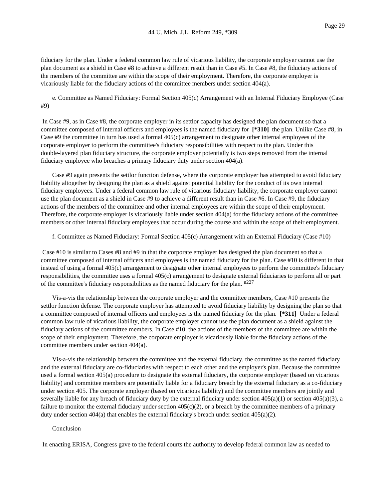fiduciary for the plan. Under a federal common law rule of vicarious liability, the corporate employer cannot use the plan document as a shield in Case #8 to achieve a different result than in Case #5. In Case #8, the fiduciary actions of the members of the committee are within the scope of their employment. Therefore, the corporate employer is vicariously liable for the fiduciary actions of the committee members under section 404(a).

e. Committee as Named Fiduciary: Formal Section 405(c) Arrangement with an Internal Fiduciary Employee (Case #9)

In Case #9, as in Case #8, the corporate employer in its settlor capacity has designed the plan document so that a committee composed of internal officers and employees is the named fiduciary for **[\*310]** the plan. Unlike Case #8, in Case #9 the committee in turn has used a formal 405(c) arrangement to designate other internal employees of the corporate employer to perform the committee's fiduciary responsibilities with respect to the plan. Under this double-layered plan fiduciary structure, the corporate employer potentially is two steps removed from the internal fiduciary employee who breaches a primary fiduciary duty under section 404(a).

Case #9 again presents the settlor function defense, where the corporate employer has attempted to avoid fiduciary liability altogether by designing the plan as a shield against potential liability for the conduct of its own internal fiduciary employees. Under a federal common law rule of vicarious fiduciary liability, the corporate employer cannot use the plan document as a shield in Case #9 to achieve a different result than in Case #6. In Case #9, the fiduciary actions of the members of the committee and other internal employees are within the scope of their employment. Therefore, the corporate employer is vicariously liable under section 404(a) for the fiduciary actions of the committee members or other internal fiduciary employees that occur during the course and within the scope of their employment.

f. Committee as Named Fiduciary: Formal Section 405(c) Arrangement with an External Fiduciary (Case #10)

Case #10 is similar to Cases #8 and #9 in that the corporate employer has designed the plan document so that a committee composed of internal officers and employees is the named fiduciary for the plan. Case #10 is different in that instead of using a formal 405(c) arrangement to designate other internal employees to perform the committee's fiduciary responsibilities, the committee uses a formal 405(c) arrangement to designate external fiduciaries to perform all or part of the committee's fiduciary responsibilities as the named fiduciary for the plan. n227

Vis-a-vis the relationship between the corporate employer and the committee members, Case #10 presents the settlor function defense. The corporate employer has attempted to avoid fiduciary liability by designing the plan so that a committee composed of internal officers and employees is the named fiduciary for the plan. **[\*311]** Under a federal common law rule of vicarious liability, the corporate employer cannot use the plan document as a shield against the fiduciary actions of the committee members. In Case #10, the actions of the members of the committee are within the scope of their employment. Therefore, the corporate employer is vicariously liable for the fiduciary actions of the committee members under section 404(a).

Vis-a-vis the relationship between the committee and the external fiduciary, the committee as the named fiduciary and the external fiduciary are co-fiduciaries with respect to each other and the employer's plan. Because the committee used a formal section 405(a) procedure to designate the external fiduciary, the corporate employer (based on vicarious liability) and committee members are potentially liable for a fiduciary breach by the external fiduciary as a co-fiduciary under section 405. The corporate employer (based on vicarious liability) and the committee members are jointly and severally liable for any breach of fiduciary duty by the external fiduciary under section  $405(a)(1)$  or section  $405(a)(3)$ , a failure to monitor the external fiduciary under section  $405(c)(2)$ , or a breach by the committee members of a primary duty under section  $404(a)$  that enables the external fiduciary's breach under section  $405(a)(2)$ .

#### Conclusion

In enacting ERISA, Congress gave to the federal courts the authority to develop federal common law as needed to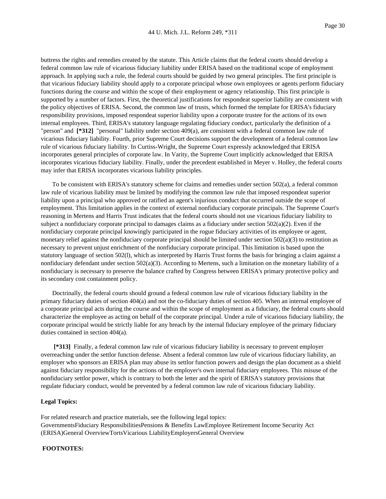buttress the rights and remedies created by the statute. This Article claims that the federal courts should develop a federal common law rule of vicarious fiduciary liability under ERISA based on the traditional scope of employment approach. In applying such a rule, the federal courts should be guided by two general principles. The first principle is that vicarious fiduciary liability should apply to a corporate principal whose own employees or agents perform fiduciary functions during the course and within the scope of their employment or agency relationship. This first principle is supported by a number of factors. First, the theoretical justifications for respondeat superior liability are consistent with the policy objectives of ERISA. Second, the common law of trusts, which formed the template for ERISA's fiduciary responsibility provisions, imposed respondeat superior liability upon a corporate trustee for the actions of its own internal employees. Third, ERISA's statutory language regulating fiduciary conduct, particularly the definition of a "person" and  $[*312]$  "personal" liability under section 409(a), are consistent with a federal common law rule of vicarious fiduciary liability. Fourth, prior Supreme Court decisions support the development of a federal common law rule of vicarious fiduciary liability. In Curtiss-Wright, the Supreme Court expressly acknowledged that ERISA incorporates general principles of corporate law. In Varity, the Supreme Court implicitly acknowledged that ERISA incorporates vicarious fiduciary liability. Finally, under the precedent established in Meyer v. Holley, the federal courts may infer that ERISA incorporates vicarious liability principles.

To be consistent with ERISA's statutory scheme for claims and remedies under section 502(a), a federal common law rule of vicarious liability must be limited by modifying the common law rule that imposed respondeat superior liability upon a principal who approved or ratified an agent's injurious conduct that occurred outside the scope of employment. This limitation applies in the context of external nonfiduciary corporate principals. The Supreme Court's reasoning in Mertens and Harris Trust indicates that the federal courts should not use vicarious fiduciary liability to subject a nonfiduciary corporate principal to damages claims as a fiduciary under section  $502(a)(2)$ . Even if the nonfiduciary corporate principal knowingly participated in the rogue fiduciary activities of its employee or agent, monetary relief against the nonfiduciary corporate principal should be limited under section  $502(a)(3)$  to restitution as necessary to prevent unjust enrichment of the nonfiduciary corporate principal. This limitation is based upon the statutory language of section 502(l), which as interpreted by Harris Trust forms the basis for bringing a claim against a nonfiduciary defendant under section 502(a)(3). According to Mertens, such a limitation on the monetary liability of a nonfiduciary is necessary to preserve the balance crafted by Congress between ERISA's primary protective policy and its secondary cost containment policy.

Doctrinally, the federal courts should ground a federal common law rule of vicarious fiduciary liability in the primary fiduciary duties of section 404(a) and not the co-fiduciary duties of section 405. When an internal employee of a corporate principal acts during the course and within the scope of employment as a fiduciary, the federal courts should characterize the employee as acting on behalf of the corporate principal. Under a rule of vicarious fiduciary liability, the corporate principal would be strictly liable for any breach by the internal fiduciary employee of the primary fiduciary duties contained in section 404(a).

**[\*313]** Finally, a federal common law rule of vicarious fiduciary liability is necessary to prevent employer overreaching under the settlor function defense. Absent a federal common law rule of vicarious fiduciary liability, an employer who sponsors an ERISA plan may abuse its settlor function powers and design the plan document as a shield against fiduciary responsibility for the actions of the employer's own internal fiduciary employees. This misuse of the nonfiduciary settlor power, which is contrary to both the letter and the spirit of ERISA's statutory provisions that regulate fiduciary conduct, would be prevented by a federal common law rule of vicarious fiduciary liability.

# **Legal Topics:**

For related research and practice materials, see the following legal topics: GovernmentsFiduciary ResponsibilitiesPensions & Benefits LawEmployee Retirement Income Security Act (ERISA)General OverviewTortsVicarious LiabilityEmployersGeneral Overview

# **FOOTNOTES:**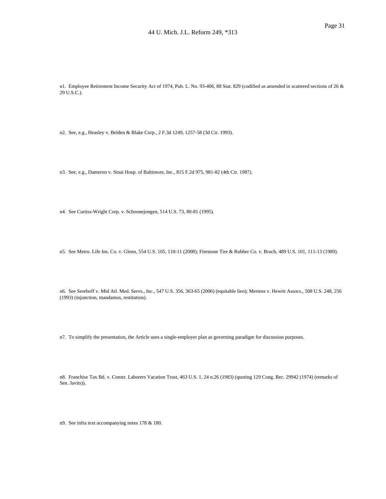n1. Employee Retirement Income Security Act of 1974, Pub. L. No. 93-406, 88 Stat. 829 (codified as amended in scattered sections of 26 & 29 U.S.C.).

n2. See, e.g., Heasley v. Belden & Blake Corp., 2 F.3d 1249, 1257-58 (3d Cir. 1993).

n3. See, e.g., Dameron v. Sinai Hosp. of Baltimore, Inc., 815 F.2d 975, 981-82 (4th Cir. 1987).

n4. See Curtiss-Wright Corp. v. Schoonejongen, 514 U.S. 73, 80-81 (1995).

n5. See Metro. Life Ins. Co. v. Glenn, 554 U.S. 105, 110-11 (2008); Firestone Tire & Rubber Co. v. Bruch, 489 U.S. 101, 111-13 (1989).

n6. See Sereboff v. Mid Atl. Med. Servs., Inc., 547 U.S. 356, 363-65 (2006) (equitable lien); Mertens v. Hewitt Assocs., 508 U.S. 248, 256 (1993) (injunction, mandamus, restitution).

n7. To simplify the presentation, the Article uses a single-employer plan as governing paradigm for discussion purposes.

n8. Franchise Tax Bd. v. Constr. Laborers Vacation Trust, 463 U.S. 1, 24 n.26 (1983) (quoting 129 Cong. Rec. 29942 (1974) (remarks of Sen. Javits)).

n9. See infra text accompanying notes 178 & 180.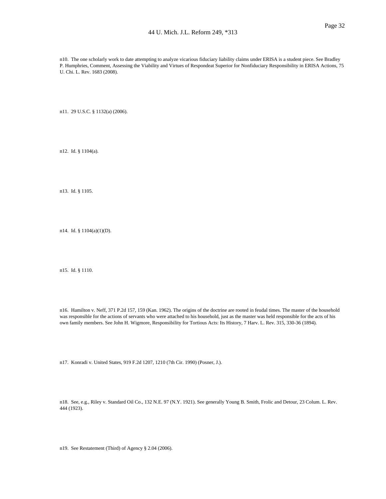n10. The one scholarly work to date attempting to analyze vicarious fiduciary liability claims under ERISA is a student piece. See Bradley P. Humphries, Comment, Assessing the Viability and Virtues of Respondeat Superior for Nonfiduciary Responsibility in ERISA Actions, 75 U. Chi. L. Rev. 1683 (2008).

n11. 29 U.S.C. § 1132(a) (2006).

n12. Id. § 1104(a).

n13. Id. § 1105.

n14. Id. § 1104(a)(1)(D).

n15. Id. § 1110.

n16. Hamilton v. Neff, 371 P.2d 157, 159 (Kan. 1962). The origins of the doctrine are rooted in feudal times. The master of the household was responsible for the actions of servants who were attached to his household, just as the master was held responsible for the acts of his own family members. See John H. Wigmore, Responsibility for Tortious Acts: Its History, 7 Harv. L. Rev. 315, 330-36 (1894).

n17. Konradi v. United States, 919 F.2d 1207, 1210 (7th Cir. 1990) (Posner, J.).

n18. See, e.g., Riley v. Standard Oil Co., 132 N.E. 97 (N.Y. 1921). See generally Young B. Smith, Frolic and Detour, 23 Colum. L. Rev. 444 (1923).

n19. See Restatement (Third) of Agency § 2.04 (2006).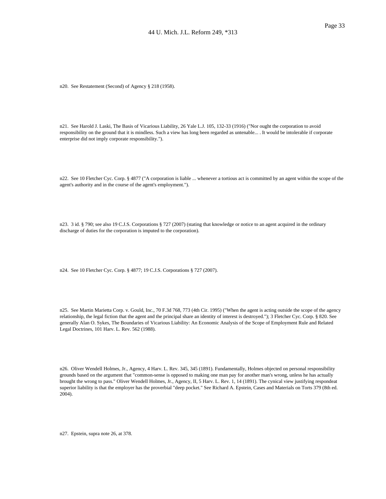n20. See Restatement (Second) of Agency § 218 (1958).

n21. See Harold J. Laski, The Basis of Vicarious Liability, 26 Yale L.J. 105, 132-33 (1916) ("Nor ought the corporation to avoid responsibility on the ground that it is mindless. Such a view has long been regarded as untenable... . It would be intolerable if corporate enterprise did not imply corporate responsibility.").

n22. See 10 Fletcher Cyc. Corp. § 4877 ("A corporation is liable ... whenever a tortious act is committed by an agent within the scope of the agent's authority and in the course of the agent's employment.").

n23. 3 id. § 790; see also 19 C.J.S. Corporations § 727 (2007) (stating that knowledge or notice to an agent acquired in the ordinary discharge of duties for the corporation is imputed to the corporation).

n24. See 10 Fletcher Cyc. Corp. § 4877; 19 C.J.S. Corporations § 727 (2007).

n25. See Martin Marietta Corp. v. Gould, Inc., 70 F.3d 768, 773 (4th Cir. 1995) ("When the agent is acting outside the scope of the agency relationship, the legal fiction that the agent and the principal share an identity of interest is destroyed."); 3 Fletcher Cyc. Corp. § 820. See generally Alan O. Sykes, The Boundaries of Vicarious Liability: An Economic Analysis of the Scope of Employment Rule and Related Legal Doctrines, 101 Harv. L. Rev. 562 (1988).

n26. Oliver Wendell Holmes, Jr., Agency, 4 Harv. L. Rev. 345, 345 (1891). Fundamentally, Holmes objected on personal responsibility grounds based on the argument that "common-sense is opposed to making one man pay for another man's wrong, unless he has actually brought the wrong to pass." Oliver Wendell Holmes, Jr., Agency, II, 5 Harv. L. Rev. 1, 14 (1891). The cynical view justifying respondeat superior liability is that the employer has the proverbial "deep pocket." See Richard A. Epstein, Cases and Materials on Torts 379 (8th ed. 2004).

n27. Epstein, supra note 26, at 378.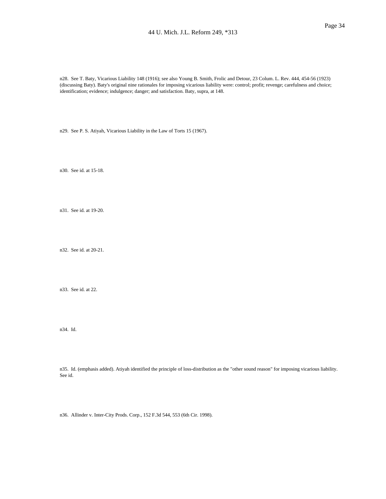n28. See T. Baty, Vicarious Liability 148 (1916); see also Young B. Smith, Frolic and Detour, 23 Colum. L. Rev. 444, 454-56 (1923) (discussing Baty). Baty's original nine rationales for imposing vicarious liability were: control; profit; revenge; carefulness and choice; identification; evidence; indulgence; danger; and satisfaction. Baty, supra, at 148.

n29. See P. S. Atiyah, Vicarious Liability in the Law of Torts 15 (1967).

n30. See id. at 15-18.

n31. See id. at 19-20.

n32. See id. at 20-21.

n33. See id. at 22.

n34. Id.

n35. Id. (emphasis added). Atiyah identified the principle of loss-distribution as the "other sound reason" for imposing vicarious liability. See id.

n36. Allinder v. Inter-City Prods. Corp., 152 F.3d 544, 553 (6th Cir. 1998).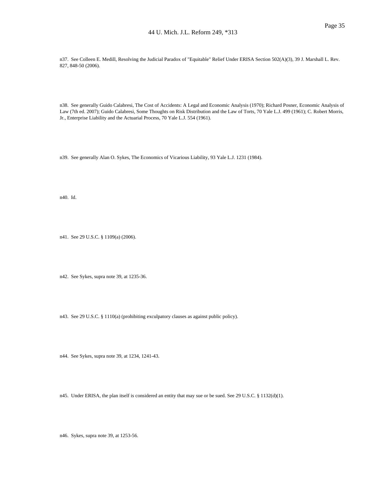n37. See Colleen E. Medill, Resolving the Judicial Paradox of "Equitable" Relief Under ERISA Section 502(A)(3), 39 J. Marshall L. Rev. 827, 848-50 (2006).

n38. See generally Guido Calabresi, The Cost of Accidents: A Legal and Economic Analysis (1970); Richard Posner, Economic Analysis of Law (7th ed. 2007); Guido Calabresi, Some Thoughts on Risk Distribution and the Law of Torts, 70 Yale L.J. 499 (1961); C. Robert Morris, Jr., Enterprise Liability and the Actuarial Process, 70 Yale L.J. 554 (1961).

n39. See generally Alan O. Sykes, The Economics of Vicarious Liability, 93 Yale L.J. 1231 (1984).

n40. Id.

n41. See 29 U.S.C. § 1109(a) (2006).

n42. See Sykes, supra note 39, at 1235-36.

n43. See 29 U.S.C. § 1110(a) (prohibiting exculpatory clauses as against public policy).

n44. See Sykes, supra note 39, at 1234, 1241-43.

n45. Under ERISA, the plan itself is considered an entity that may sue or be sued. See 29 U.S.C. § 1132(d)(1).

n46. Sykes, supra note 39, at 1253-56.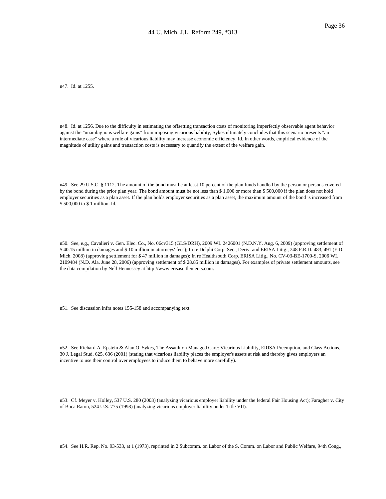n47. Id. at 1255.

n48. Id. at 1256. Due to the difficulty in estimating the offsetting transaction costs of monitoring imperfectly observable agent behavior against the "unambiguous welfare gains" from imposing vicarious liability, Sykes ultimately concludes that this scenario presents "an intermediate case" where a rule of vicarious liability may increase economic efficiency. Id. In other words, empirical evidence of the magnitude of utility gains and transaction costs is necessary to quantify the extent of the welfare gain.

n49. See 29 U.S.C. § 1112. The amount of the bond must be at least 10 percent of the plan funds handled by the person or persons covered by the bond during the prior plan year. The bond amount must be not less than \$ 1,000 or more than \$ 500,000 if the plan does not hold employer securities as a plan asset. If the plan holds employer securities as a plan asset, the maximum amount of the bond is increased from \$ 500,000 to \$ 1 million. Id.

n50. See, e.g., Cavalieri v. Gen. Elec. Co., No. 06cv315 (GLS/DRH), 2009 WL 2426001 (N.D.N.Y. Aug. 6, 2009) (approving settlement of \$ 40.15 million in damages and \$ 10 million in attorneys' fees); In re Delphi Corp. Sec., Deriv. and ERISA Litig., 248 F.R.D. 483, 491 (E.D. Mich. 2008) (approving settlement for \$ 47 million in damages); In re Healthsouth Corp. ERISA Litig., No. CV-03-BE-1700-S, 2006 WL 2109484 (N.D. Ala. June 28, 2006) (approving settlement of \$ 28.85 million in damages). For examples of private settlement amounts, see the data compilation by Nell Hennessey at http://www.erisasettlements.com.

n51. See discussion infra notes 155-158 and accompanying text.

n52. See Richard A. Epstein & Alan O. Sykes, The Assault on Managed Care: Vicarious Liability, ERISA Preemption, and Class Actions, 30 J. Legal Stud. 625, 636 (2001) (stating that vicarious liability places the employer's assets at risk and thereby gives employers an incentive to use their control over employees to induce them to behave more carefully).

n53. Cf. Meyer v. Holley, 537 U.S. 280 (2003) (analyzing vicarious employer liability under the federal Fair Housing Act); Faragher v. City of Boca Raton, 524 U.S. 775 (1998) (analyzing vicarious employer liability under Title VII).

n54. See H.R. Rep. No. 93-533, at 1 (1973), reprinted in 2 Subcomm. on Labor of the S. Comm. on Labor and Public Welfare, 94th Cong.,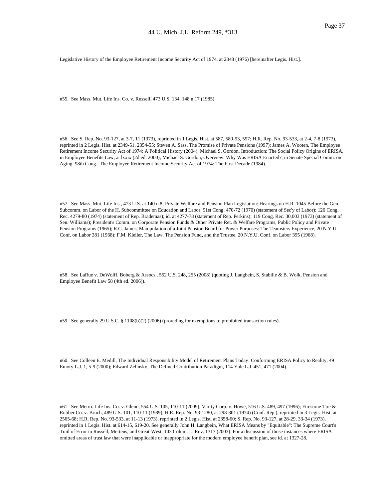Legislative History of the Employee Retirement Income Security Act of 1974, at 2348 (1976) [hereinafter Legis. Hist.].

n55. See Mass. Mut. Life Ins. Co. v. Russell, 473 U.S. 134, 148 n.17 (1985).

n56. See S. Rep. No. 93-127, at 3-7, 11 (1973), reprinted in 1 Legis. Hist. at 587, 589-93, 597; H.R. Rep. No. 93-533, at 2-4, 7-8 (1973), reprinted in 2 Legis. Hist. at 2349-51, 2354-55; Steven A. Sass, The Promise of Private Pensions (1997); James A. Wooten, The Employee Retirement Income Security Act of 1974: A Political History (2004); Michael S. Gordon, Introduction: The Social Policy Origins of ERISA, in Employee Benefits Law, at lxxix (2d ed. 2000); Michael S. Gordon, Overview: Why Was ERISA Enacted?, in Senate Special Comm. on Aging, 98th Cong., The Employee Retirement Income Security Act of 1974: The First Decade (1984).

n57. See Mass. Mut. Life Ins., 473 U.S. at 140 n.8; Private Welfare and Pension Plan Legislation: Hearings on H.R. 1045 Before the Gen. Subcomm. on Labor of the H. Subcommittee on Education and Labor, 91st Cong. 470-72 (1970) (statement of Sec'y of Labor); 120 Cong. Rec. 4279-80 (1974) (statement of Rep. Brademas); id. at 4277-78 (statement of Rep. Perkins); 119 Cong. Rec. 30,003 (1973) (statement of Sen. Williams); President's Comm. on Corporate Pension Funds & Other Private Ret. & Welfare Programs, Public Policy and Private Pension Programs (1965); R.C. James, Manipulation of a Joint Pension Board for Power Purposes: The Teamsters Experience, 20 N.Y.U. Conf. on Labor 381 (1968); F.M. Kleiler, The Law, The Pension Fund, and the Trustee, 20 N.Y.U. Conf. on Labor 395 (1968).

n58. See LaRue v. DeWolff, Boberg & Assocs., 552 U.S. 248, 255 (2008) (quoting J. Langbein, S. Stabille & B. Wolk, Pension and Employee Benefit Law 58 (4th ed. 2006)).

n59. See generally 29 U.S.C. § 1108(b)(2) (2006) (providing for exemptions to prohibited transaction rules).

n60. See Colleen E. Medill, The Individual Responsibility Model of Retirement Plans Today: Conforming ERISA Policy to Reality, 49 Emory L.J. 1, 5-9 (2000); Edward Zelinsky, The Defined Contribution Paradigm, 114 Yale L.J. 451, 471 (2004).

n61. See Metro. Life Ins. Co. v. Glenn, 554 U.S. 105, 110-11 (2009); Varity Corp. v. Howe, 516 U.S. 489, 497 (1996); Firestone Tire & Rubber Co. v. Bruch, 489 U.S. 101, 110-11 (1989); H.R. Rep. No. 93-1280, at 298-301 (1974) (Conf. Rep.), reprinted in 3 Legis. Hist. at 2565-68; H.R. Rep. No. 93-533, at 11-13 (1973), reprinted in 2 Legis. Hist. at 2358-60; S. Rep. No. 93-127, at 28-29, 33-34 (1973), reprinted in 1 Legis. Hist. at 614-15, 619-20. See generally John H. Langbein, What ERISA Means by "Equitable": The Supreme Court's Trail of Error in Russell, Mertens, and Great-West, 103 Colum. L. Rev. 1317 (2003). For a discussion of those instances where ERISA omitted areas of trust law that were inapplicable or inappropriate for the modern employee benefit plan, see id. at 1327-28.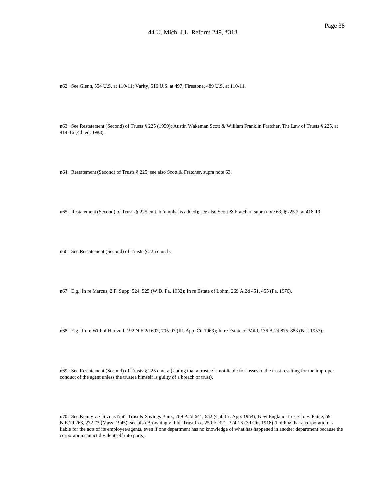n62. See Glenn, 554 U.S. at 110-11; Varity, 516 U.S. at 497; Firestone, 489 U.S. at 110-11.

n63. See Restatement (Second) of Trusts § 225 (1959); Austin Wakeman Scott & William Franklin Fratcher, The Law of Trusts § 225, at 414-16 (4th ed. 1988).

n64. Restatement (Second) of Trusts § 225; see also Scott & Fratcher, supra note 63.

n65. Restatement (Second) of Trusts § 225 cmt. b (emphasis added); see also Scott & Fratcher, supra note 63, § 225.2, at 418-19.

n66. See Restatement (Second) of Trusts § 225 cmt. b.

n67. E.g., In re Marcus, 2 F. Supp. 524, 525 (W.D. Pa. 1932); In re Estate of Lohm, 269 A.2d 451, 455 (Pa. 1970).

n68. E.g., In re Will of Hartzell, 192 N.E.2d 697, 705-07 (Ill. App. Ct. 1963); In re Estate of Mild, 136 A.2d 875, 883 (N.J. 1957).

n69. See Restatement (Second) of Trusts § 225 cmt. a (stating that a trustee is not liable for losses to the trust resulting for the improper conduct of the agent unless the trustee himself is guilty of a breach of trust).

n70. See Kenny v. Citizens Nat'l Trust & Savings Bank, 269 P.2d 641, 652 (Cal. Ct. App. 1954); New England Trust Co. v. Paine, 59 N.E.2d 263, 272-73 (Mass. 1945); see also Browning v. Fid. Trust Co., 250 F. 321, 324-25 (3d Cir. 1918) (holding that a corporation is liable for the acts of its employee/agents, even if one department has no knowledge of what has happened in another department because the corporation cannot divide itself into parts).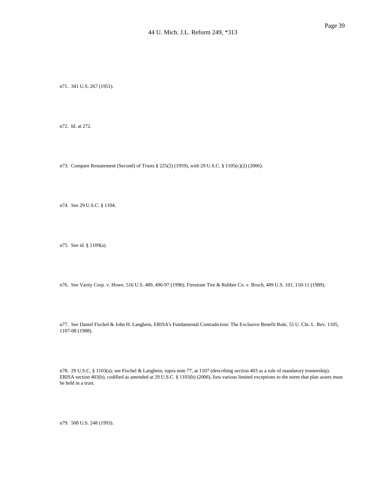n71. 341 U.S. 267 (1951).

n72. Id. at 272.

n73. Compare Restatement (Second) of Trusts § 225(2) (1959), with 29 U.S.C. § 1105(c)(2) (2006).

n74. See 29 U.S.C. § 1104.

n75. See id. § 1109(a).

n76. See Varity Corp. v. Howe, 516 U.S. 489, 496-97 (1996); Firestone Tire & Rubber Co. v. Bruch, 489 U.S. 101, 110-11 (1989).

n77. See Daniel Fischel & John H. Langbein, ERISA's Fundamental Contradiction: The Exclusive Benefit Rule, 55 U. Chi. L. Rev. 1105, 1107-08 (1988).

n78. 29 U.S.C. § 1103(a); see Fischel & Langbein, supra note 77, at 1107 (describing section 403 as a rule of mandatory trusteeship). ERISA section 403(b), codified as amended at 29 U.S.C. § 1103(b) (2006), lists various limited exceptions to the norm that plan assets must be held in a trust.

n79. 508 U.S. 248 (1993).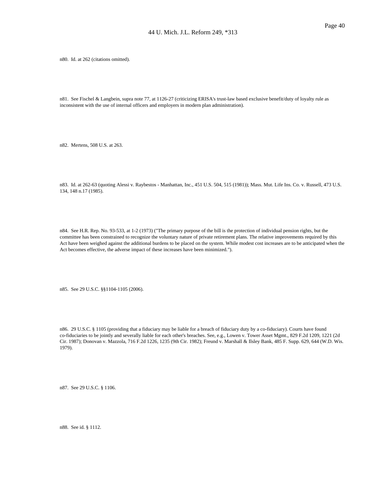n80. Id. at 262 (citations omitted).

n81. See Fischel & Langbein, supra note 77, at 1126-27 (criticizing ERISA's trust-law based exclusive benefit/duty of loyalty rule as inconsistent with the use of internal officers and employers in modern plan administration).

n82. Mertens, 508 U.S. at 263.

n83. Id. at 262-63 (quoting Alessi v. Raybestos - Manhattan, Inc., 451 U.S. 504, 515 (1981)); Mass. Mut. Life Ins. Co. v. Russell, 473 U.S. 134, 148 n.17 (1985).

n84. See H.R. Rep. No. 93-533, at 1-2 (1973) ("The primary purpose of the bill is the protection of individual pension rights, but the committee has been constrained to recognize the voluntary nature of private retirement plans. The relative improvements required by this Act have been weighed against the additional burdens to be placed on the system. While modest cost increases are to be anticipated when the Act becomes effective, the adverse impact of these increases have been minimized.").

n85. See 29 U.S.C. §§1104-1105 (2006).

n86. 29 U.S.C. § 1105 (providing that a fiduciary may be liable for a breach of fiduciary duty by a co-fiduciary). Courts have found co-fiduciaries to be jointly and severally liable for each other's breaches. See, e.g., Lowen v. Tower Asset Mgmt., 829 F.2d 1209, 1221 (2d Cir. 1987); Donovan v. Mazzola, 716 F.2d 1226, 1235 (9th Cir. 1982); Freund v. Marshall & Ilsley Bank, 485 F. Supp. 629, 644 (W.D. Wis. 1979).

n87. See 29 U.S.C. § 1106.

n88. See id. § 1112.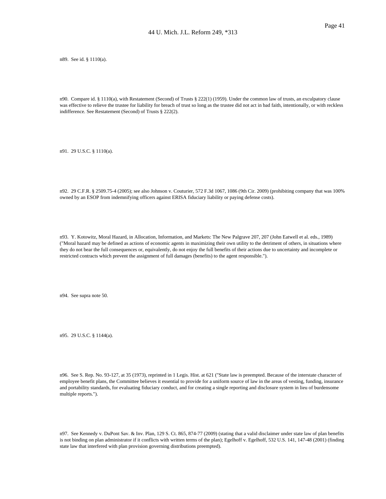n89. See id. § 1110(a).

n90. Compare id. § 1110(a), with Restatement (Second) of Trusts § 222(1) (1959). Under the common law of trusts, an exculpatory clause was effective to relieve the trustee for liability for breach of trust so long as the trustee did not act in bad faith, intentionally, or with reckless indifference. See Restatement (Second) of Trusts § 222(2).

n91. 29 U.S.C. § 1110(a).

n92. 29 C.F.R. § 2509.75-4 (2005); see also Johnson v. Couturier, 572 F.3d 1067, 1086 (9th Cir. 2009) (prohibiting company that was 100% owned by an ESOP from indemnifying officers against ERISA fiduciary liability or paying defense costs).

n93. Y. Kotowitz, Moral Hazard, in Allocation, Information, and Markets: The New Palgrave 207, 207 (John Eatwell et al. eds., 1989) ("Moral hazard may be defined as actions of economic agents in maximizing their own utility to the detriment of others, in situations where they do not bear the full consequences or, equivalently, do not enjoy the full benefits of their actions due to uncertainty and incomplete or restricted contracts which prevent the assignment of full damages (benefits) to the agent responsible.").

n94. See supra note 50.

n95. 29 U.S.C. § 1144(a).

n96. See S. Rep. No. 93-127, at 35 (1973), reprinted in 1 Legis. Hist. at 621 ("State law is preempted. Because of the interstate character of employee benefit plans, the Committee believes it essential to provide for a uniform source of law in the areas of vesting, funding, insurance and portability standards, for evaluating fiduciary conduct, and for creating a single reporting and disclosure system in lieu of burdensome multiple reports.").

n97. See Kennedy v. DuPont Sav. & Inv. Plan, 129 S. Ct. 865, 874-77 (2009) (stating that a valid disclaimer under state law of plan benefits is not binding on plan administrator if it conflicts with written terms of the plan); Egelhoff v. Egelhoff, 532 U.S. 141, 147-48 (2001) (finding state law that interfered with plan provision governing distributions preempted).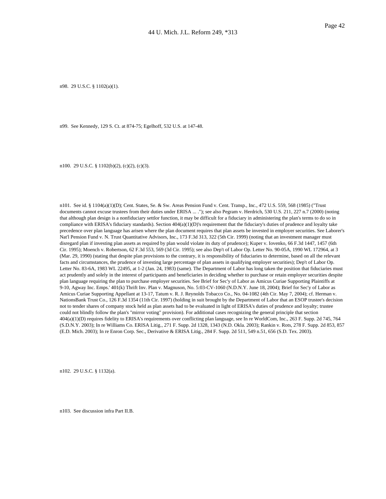n98. 29 U.S.C. § 1102(a)(1).

n99. See Kennedy, 129 S. Ct. at 874-75; Egelhoff, 532 U.S. at 147-48.

n100. 29 U.S.C. § 1102(b)(2), (c)(2), (c)(3).

n101. See id. § 1104(a)(1)(D); Cent. States, Se. & Sw. Areas Pension Fund v. Cent. Transp., Inc., 472 U.S. 559, 568 (1985) ("Trust documents cannot excuse trustees from their duties under ERISA ... ."); see also Pegram v. Herdrich, 530 U.S. 211, 227 n.7 (2000) (noting that although plan design is a nonfiduciary settlor function, it may be difficult for a fiduciary in administering the plan's terms to do so in compliance with ERISA's fiduciary standards). Section 404(a)(1)(D)'s requirement that the fiduciary's duties of prudence and loyalty take precedence over plan language has arisen where the plan document requires that plan assets be invested in employer securities. See Laborer's Nat'l Pension Fund v. N. Trust Quantitative Advisors, Inc., 173 F.3d 313, 322 (5th Cir. 1999) (noting that an investment manager must disregard plan if investing plan assets as required by plan would violate its duty of prudence); Kuper v. Iovenko, 66 F.3d 1447, 1457 (6th Cir. 1995); Moench v. Robertson, 62 F.3d 553, 569 (3d Cir. 1995); see also Dep't of Labor Op. Letter No. 90-05A, 1990 WL 172964, at 3 (Mar. 29, 1990) (stating that despite plan provisions to the contrary, it is responsibility of fiduciaries to determine, based on all the relevant facts and circumstances, the prudence of investing large percentage of plan assets in qualifying employer securities); Dep't of Labor Op. Letter No. 83-6A, 1983 WL 22495, at 1-2 (Jan. 24, 1983) (same). The Department of Labor has long taken the position that fiduciaries must act prudently and solely in the interest of participants and beneficiaries in deciding whether to purchase or retain employer securities despite plan language requiring the plan to purchase employer securities. See Brief for Sec'y of Labor as Amicus Curiae Supporting Plaintiffs at 9-10, Agway Inc. Emps.' 401(k) Thrift Inv. Plan v. Magnuson, No. 5:03-CV-1060 (N.D.N.Y. June 18, 2004); Brief for Sec'y of Labor as Amicus Curiae Supporting Appellant at 13-17, Tatum v. R. J. Reynolds Tobacco Co., No. 04-1082 (4th Cir. May 7, 2004); cf. Herman v. NationsBank Trust Co., 126 F.3d 1354 (11th Cir. 1997) (holding in suit brought by the Department of Labor that an ESOP trustee's decision not to tender shares of company stock held as plan assets had to be evaluated in light of ERISA's duties of prudence and loyalty; trustee could not blindly follow the plan's "mirror voting" provision). For additional cases recognizing the general principle that section 404(a)(1)(D) requires fidelity to ERISA's requirements over conflicting plan language, see In re WorldCom, Inc., 263 F. Supp. 2d 745, 764 (S.D.N.Y. 2003); In re Williams Co. ERISA Litig., 271 F. Supp. 2d 1328, 1343 (N.D. Okla. 2003); Rankin v. Rots, 278 F. Supp. 2d 853, 857 (E.D. Mich. 2003); In re Enron Corp. Sec., Derivative & ERISA Litig., 284 F. Supp. 2d 511, 549 n.51, 656 (S.D. Tex. 2003).

n102. 29 U.S.C. § 1132(a).

n103. See discussion infra Part II.B.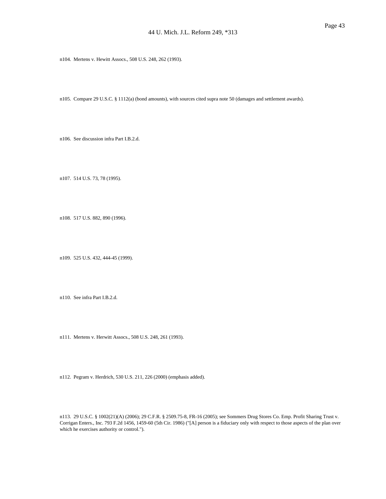n104. Mertens v. Hewitt Assocs., 508 U.S. 248, 262 (1993).

n105. Compare 29 U.S.C. § 1112(a) (bond amounts), with sources cited supra note 50 (damages and settlement awards).

n106. See discussion infra Part I.B.2.d.

n107. 514 U.S. 73, 78 (1995).

n108. 517 U.S. 882, 890 (1996).

n109. 525 U.S. 432, 444-45 (1999).

n110. See infra Part I.B.2.d.

n111. Mertens v. Herwitt Assocs., 508 U.S. 248, 261 (1993).

n112. Pegram v. Herdrich, 530 U.S. 211, 226 (2000) (emphasis added).

n113. 29 U.S.C. § 1002(21)(A) (2006); 29 C.F.R. § 2509.75-8, FR-16 (2005); see Sommers Drug Stores Co. Emp. Profit Sharing Trust v. Corrigan Enters., Inc. 793 F.2d 1456, 1459-60 (5th Cir. 1986) ("[A] person is a fiduciary only with respect to those aspects of the plan over which he exercises authority or control.").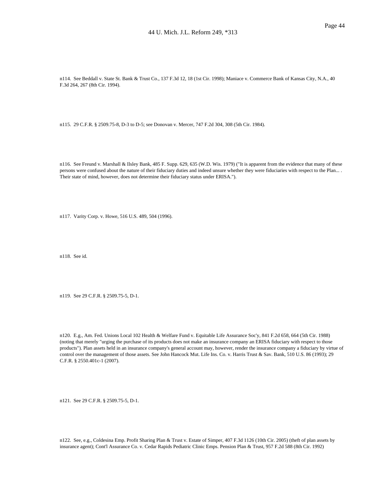n114. See Beddall v. State St. Bank & Trust Co., 137 F.3d 12, 18 (1st Cir. 1998); Maniace v. Commerce Bank of Kansas City, N.A., 40 F.3d 264, 267 (8th Cir. 1994).

n115. 29 C.F.R. § 2509.75-8, D-3 to D-5; see Donovan v. Mercer, 747 F.2d 304, 308 (5th Cir. 1984).

n116. See Freund v. Marshall & Ilsley Bank, 485 F. Supp. 629, 635 (W.D. Wis. 1979) ("It is apparent from the evidence that many of these persons were confused about the nature of their fiduciary duties and indeed unsure whether they were fiduciaries with respect to the Plan... . Their state of mind, however, does not determine their fiduciary status under ERISA.").

n117. Varity Corp. v. Howe, 516 U.S. 489, 504 (1996).

n118. See id.

n119. See 29 C.F.R. § 2509.75-5, D-1.

n120. E.g., Am. Fed. Unions Local 102 Health & Welfare Fund v. Equitable Life Assurance Soc'y, 841 F.2d 658, 664 (5th Cir. 1988) (noting that merely "urging the purchase of its products does not make an insurance company an ERISA fiduciary with respect to those products"). Plan assets held in an insurance company's general account may, however, render the insurance company a fiduciary by virtue of control over the management of those assets. See John Hancock Mut. Life Ins. Co. v. Harris Trust & Sav. Bank, 510 U.S. 86 (1993); 29 C.F.R. § 2550.401c-1 (2007).

n121. See 29 C.F.R. § 2509.75-5, D-1.

n122. See, e.g., Coldesina Emp. Profit Sharing Plan & Trust v. Estate of Simper, 407 F.3d 1126 (10th Cir. 2005) (theft of plan assets by insurance agent); Cont'l Assurance Co. v. Cedar Rapids Pediatric Clinic Emps. Pension Plan & Trust, 957 F.2d 588 (8th Cir. 1992)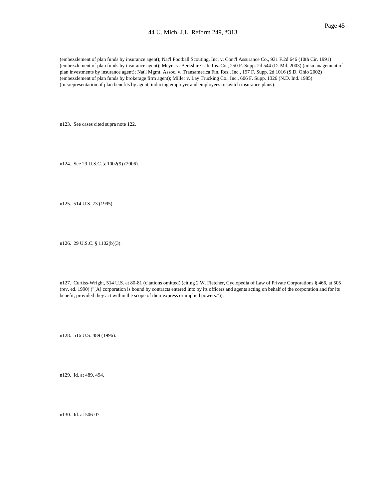(embezzlement of plan funds by insurance agent); Nat'l Football Scouting, Inc. v. Cont'l Assurance Co., 931 F.2d 646 (10th Cir. 1991) (embezzlement of plan funds by insurance agent); Meyer v. Berkshire Life Ins. Co., 250 F. Supp. 2d 544 (D. Md. 2003) (mismanagement of plan investments by insurance agent); Nat'l Mgmt. Assoc. v. Transamerica Fin. Res., Inc., 197 F. Supp. 2d 1016 (S.D. Ohio 2002) (embezzlement of plan funds by brokerage firm agent); Miller v. Lay Trucking Co., Inc., 606 F. Supp. 1326 (N.D. Ind. 1985) (misrepresentation of plan benefits by agent, inducing employer and employees to switch insurance plans).

n123. See cases cited supra note 122.

n124. See 29 U.S.C. § 1002(9) (2006).

n125. 514 U.S. 73 (1995).

n126. 29 U.S.C. § 1102(b)(3).

n127. Curtiss-Wright, 514 U.S. at 80-81 (citations omitted) (citing 2 W. Fletcher, Cyclopedia of Law of Private Corporations § 466, at 505 (rev. ed. 1990) ("[A] corporation is bound by contracts entered into by its officers and agents acting on behalf of the corporation and for its benefit, provided they act within the scope of their express or implied powers.")).

n128. 516 U.S. 489 (1996).

n129. Id. at 489, 494.

n130. Id. at 506-07.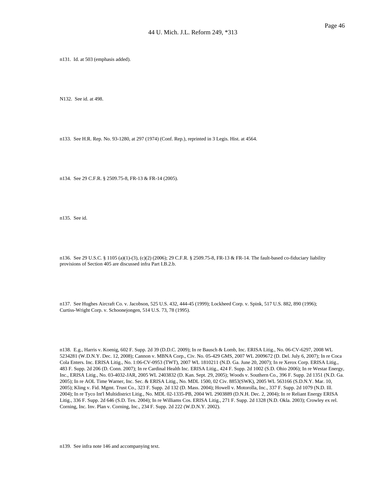n131. Id. at 503 (emphasis added).

N132. See id. at 498.

n133. See H.R. Rep. No. 93-1280, at 297 (1974) (Conf. Rep.), reprinted in 3 Legis. Hist. at 4564.

n134. See 29 C.F.R. § 2509.75-8, FR-13 & FR-14 (2005).

n135. See id.

n136. See 29 U.S.C. § 1105 (a)(1)-(3), (c)(2) (2006); 29 C.F.R. § 2509.75-8, FR-13 & FR-14. The fault-based co-fiduciary liability provisions of Section 405 are discussed infra Part I.B.2.b.

n137. See Hughes Aircraft Co. v. Jacobson, 525 U.S. 432, 444-45 (1999); Lockheed Corp. v. Spink, 517 U.S. 882, 890 (1996); Curtiss-Wright Corp. v. Schoonejongen, 514 U.S. 73, 78 (1995).

n138. E.g., Harris v. Koenig, 602 F. Supp. 2d 39 (D.D.C. 2009); In re Bausch & Lomb, Inc. ERISA Litig., No. 06-CV-6297, 2008 WL 5234281 (W.D.N.Y. Dec. 12, 2008); Cannon v. MBNA Corp., Civ. No. 05-429 GMS, 2007 WL 2009672 (D. Del. July 6, 2007); In re Coca Cola Enters. Inc. ERISA Litig., No. 1:06-CV-0953 (TWT), 2007 WL 1810211 (N.D. Ga. June 20, 2007); In re Xerox Corp. ERISA Litig., 483 F. Supp. 2d 206 (D. Conn. 2007); In re Cardinal Health Inc. ERISA Litig., 424 F. Supp. 2d 1002 (S.D. Ohio 2006); In re Westar Energy, Inc., ERISA Litig., No. 03-4032-JAR, 2005 WL 2403832 (D. Kan. Sept. 29, 2005); Woods v. Southern Co., 396 F. Supp. 2d 1351 (N.D. Ga. 2005); In re AOL Time Warner, Inc. Sec. & ERISA Litig., No. MDL 1500, 02 Civ. 8853(SWK), 2005 WL 563166 (S.D.N.Y. Mar. 10, 2005); Kling v. Fid. Mgmt. Trust Co., 323 F. Supp. 2d 132 (D. Mass. 2004); Howell v. Motorolla, Inc., 337 F. Supp. 2d 1079 (N.D. Ill. 2004); In re Tyco Int'l Multidistrict Litig., No. MDL 02-1335-PB, 2004 WL 2903889 (D.N.H. Dec. 2, 2004); In re Reliant Energy ERISA Litig., 336 F. Supp. 2d 646 (S.D. Tex. 2004); In re Williams Cos. ERISA Litig., 271 F. Supp. 2d 1328 (N.D. Okla. 2003); Crowley ex rel. Corning, Inc. Inv. Plan v. Corning, Inc., 234 F. Supp. 2d 222 (W.D.N.Y. 2002).

n139. See infra note 146 and accompanying text.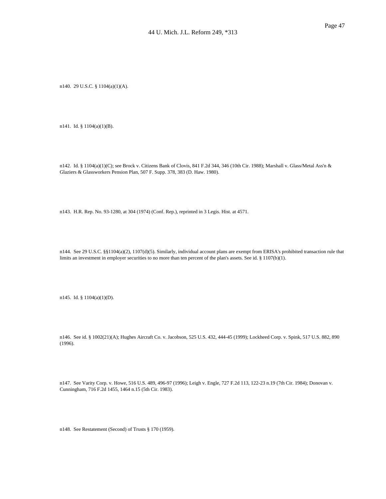n140. 29 U.S.C. § 1104(a)(1)(A).

n141. Id. § 1104(a)(1)(B).

n142. Id. § 1104(a)(1)(C); see Brock v. Citizens Bank of Clovis, 841 F.2d 344, 346 (10th Cir. 1988); Marshall v. Glass/Metal Ass'n & Glaziers & Glassworkers Pension Plan, 507 F. Supp. 378, 383 (D. Haw. 1980).

n143. H.R. Rep. No. 93-1280, at 304 (1974) (Conf. Rep.), reprinted in 3 Legis. Hist. at 4571.

n144. See 29 U.S.C. §§1104(a)(2), 1107(d)(5). Similarly, individual account plans are exempt from ERISA's prohibited transaction rule that limits an investment in employer securities to no more than ten percent of the plan's assets. See id. § 1107(b)(1).

n145. Id. § 1104(a)(1)(D).

n146. See id. § 1002(21)(A); Hughes Aircraft Co. v. Jacobson, 525 U.S. 432, 444-45 (1999); Lockheed Corp. v. Spink, 517 U.S. 882, 890 (1996).

n147. See Varity Corp. v. Howe, 516 U.S. 489, 496-97 (1996); Leigh v. Engle, 727 F.2d 113, 122-23 n.19 (7th Cir. 1984); Donovan v. Cunningham, 716 F.2d 1455, 1464 n.15 (5th Cir. 1983).

n148. See Restatement (Second) of Trusts § 170 (1959).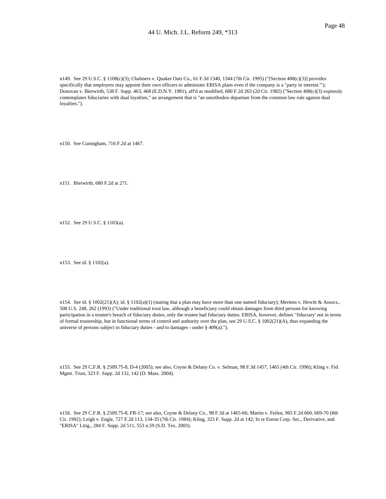n149. See 29 U.S.C. § 1108(c)(3); Chalmers v. Quaker Oats Co., 61 F.3d 1340, 1344 (7th Cir. 1995) ("[Section 408(c)(3)] provides specifically that employers may appoint their own officers to administer ERISA plans even if the company is a "party in interest.""); Donovan v. Bierwirth, 538 F. Supp. 463, 468 (E.D.N.Y. 1981), aff'd as modified, 680 F.2d 263 (2d Cir. 1982) ("Section 408(c)(3) expressly contemplates fiduciaries with dual loyalties," an arrangement that is "an unorthodox departure from the common law rule against dual loyalties.").

n150. See Cunnigham, 716 F.2d at 1467.

n151. Bierwirth, 680 F.2d at 271.

n152. See 29 U.S.C. § 1103(a).

n153. See id. § 1102(a).

n154. See id. § 1002(21)(A); id. § 1102(a)(1) (stating that a plan may have more than one named fiduciary); Mertens v. Hewitt & Assocs., 508 U.S. 248, 262 (1993) ("Under traditional trust law, although a beneficiary could obtain damages from third persons for knowing participation in a trustee's breach of fiduciary duties, only the trustee had fiduciary duties. ERISA, however, defines "fiduciary' not in terms of formal trusteeship, but in functional terms of control and authority over the plan, see 29 U.S.C. § 1002(21)(A), thus expanding the universe of persons subject to fiduciary duties - and to damages - under § 409(a).").

n155. See 29 C.F.R. § 2509.75-8, D-4 (2005); see also, Coyne & Delany Co. v. Selman, 98 F.3d 1457, 1465 (4th Cir. 1996); Kling v. Fid. Mgmt. Trust, 323 F. Supp. 2d 132, 142 (D. Mass. 2004).

n156. See 29 C.F.R. § 2509.75-8, FR-17; see also, Coyne & Delany Co., 98 F.3d at 1465-66; Martin v. Feilen, 965 F.2d 660, 669-70 (8th Cir. 1992); Leigh v. Engle, 727 F.2d 113, 134-35 (7th Cir. 1984); Kling, 323 F. Supp. 2d at 142; In re Enron Corp. Sec., Derivative, and "ERISA" Litig., 284 F. Supp. 2d 511, 553 n.59 (S.D. Tex. 2003).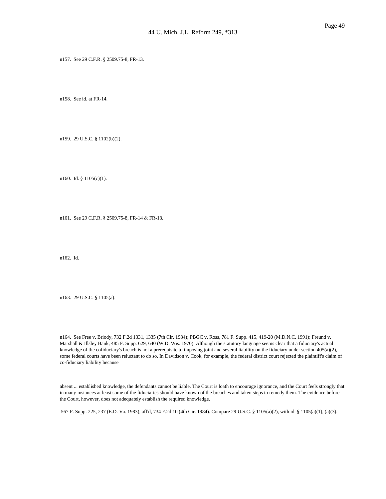n158. See id. at FR-14.

n159. 29 U.S.C. § 1102(b)(2).

n160. Id. § 1105(c)(1).

n161. See 29 C.F.R. § 2509.75-8, FR-14 & FR-13.

n162. Id.

n163. 29 U.S.C. § 1105(a).

n164. See Free v. Briody, 732 F.2d 1331, 1335 (7th Cir. 1984); PBGC v. Ross, 781 F. Supp. 415, 419-20 (M.D.N.C. 1991); Freund v. Marshall & Illsley Bank, 485 F. Supp. 629, 640 (W.D. Wis. 1970). Although the statutory language seems clear that a fiduciary's actual knowledge of the cofiduciary's breach is not a prerequisite to imposing joint and several liability on the fiduciary under section 405(a)(2), some federal courts have been reluctant to do so. In Davidson v. Cook, for example, the federal district court rejected the plaintiff's claim of co-fiduciary liability because

absent ... established knowledge, the defendants cannot be liable. The Court is loath to encourage ignorance, and the Court feels strongly that in many instances at least some of the fiduciaries should have known of the breaches and taken steps to remedy them. The evidence before the Court, however, does not adequately establish the required knowledge.

567 F. Supp. 225, 237 (E.D. Va. 1983), aff'd, 734 F.2d 10 (4th Cir. 1984). Compare 29 U.S.C. § 1105(a)(2), with id. § 1105(a)(1), (a)(3).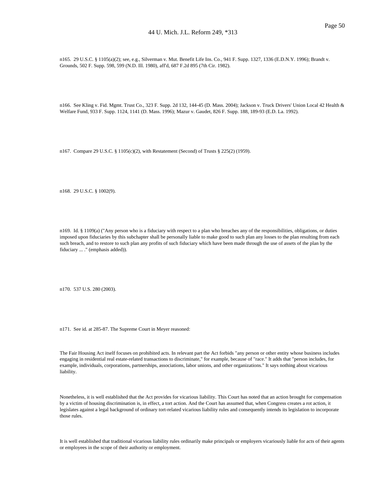n165. 29 U.S.C. § 1105(a)(2); see, e.g., Silverman v. Mut. Benefit Life Ins. Co., 941 F. Supp. 1327, 1336 (E.D.N.Y. 1996); Brandt v. Grounds, 502 F. Supp. 598, 599 (N.D. Ill. 1980), aff'd, 687 F.2d 895 (7th Cir. 1982).

n166. See Kling v. Fid. Mgmt. Trust Co., 323 F. Supp. 2d 132, 144-45 (D. Mass. 2004); Jackson v. Truck Drivers' Union Local 42 Health & Welfare Fund, 933 F. Supp. 1124, 1141 (D. Mass. 1996); Mazur v. Gaudet, 826 F. Supp. 188, 189-93 (E.D. La. 1992).

n167. Compare 29 U.S.C. § 1105(c)(2), with Restatement (Second) of Trusts § 225(2) (1959).

n168. 29 U.S.C. § 1002(9).

n169. Id. § 1109(a) ("Any person who is a fiduciary with respect to a plan who breaches any of the responsibilities, obligations, or duties imposed upon fiduciaries by this subchapter shall be personally liable to make good to such plan any losses to the plan resulting from each such breach, and to restore to such plan any profits of such fiduciary which have been made through the use of assets of the plan by the fiduciary ... ." (emphasis added)).

n170. 537 U.S. 280 (2003).

n171. See id. at 285-87. The Supreme Court in Meyer reasoned:

The Fair Housing Act itself focuses on prohibited acts. In relevant part the Act forbids "any person or other entity whose business includes engaging in residential real estate-related transactions to discriminate," for example, because of "race." It adds that "person includes, for example, individuals, corporations, partnerships, associations, labor unions, and other organizations." It says nothing about vicarious liability.

Nonetheless, it is well established that the Act provides for vicarious liability. This Court has noted that an action brought for compensation by a victim of housing discrimination is, in effect, a tort action. And the Court has assumed that, when Congress creates a rot action, it legislates against a legal background of ordinary tort-related vicarious liability rules and consequently intends its legislation to incorporate those rules.

It is well established that traditional vicarious liability rules ordinarily make principals or employers vicariously liable for acts of their agents or employees in the scope of their authority or employment.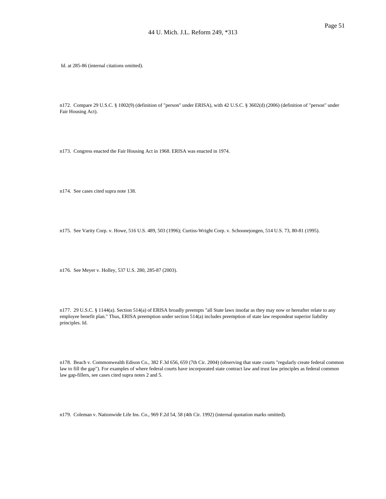Id. at 285-86 (internal citations omitted).

n172. Compare 29 U.S.C. § 1002(9) (definition of "person" under ERISA), with 42 U.S.C. § 3602(d) (2006) (definition of "person" under Fair Housing Act).

n173. Congress enacted the Fair Housing Act in 1968. ERISA was enacted in 1974.

n174. See cases cited supra note 138.

n175. See Varity Corp. v. Howe, 516 U.S. 489, 503 (1996); Curtiss-Wright Corp. v. Schoonejongen, 514 U.S. 73, 80-81 (1995).

n176. See Meyer v. Holley, 537 U.S. 280, 285-87 (2003).

n177. 29 U.S.C. § 1144(a). Section 514(a) of ERISA broadly preempts "all State laws insofar as they may now or hereafter relate to any employee benefit plan." Thus, ERISA preemption under section 514(a) includes preemption of state law respondeat superior liability principles. Id.

n178. Beach v. Commonwealth Edison Co., 382 F.3d 656, 659 (7th Cir. 2004) (observing that state courts "regularly create federal common law to fill the gap"). For examples of where federal courts have incorporated state contract law and trust law principles as federal common law gap-fillers, see cases cited supra notes 2 and 5.

n179. Coleman v. Nationwide Life Ins. Co., 969 F.2d 54, 58 (4th Cir. 1992) (internal quotation marks omitted).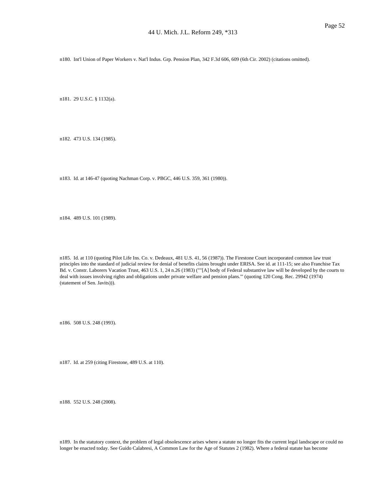n180. Int'l Union of Paper Workers v. Nat'l Indus. Grp. Pension Plan, 342 F.3d 606, 609 (6th Cir. 2002) (citations omitted).

n181. 29 U.S.C. § 1132(a).

n182. 473 U.S. 134 (1985).

n183. Id. at 146-47 (quoting Nachman Corp. v. PBGC, 446 U.S. 359, 361 (1980)).

n184. 489 U.S. 101 (1989).

n185. Id. at 110 (quoting Pilot Life Ins. Co. v. Dedeaux, 481 U.S. 41, 56 (1987)). The Firestone Court incorporated common law trust principles into the standard of judicial review for denial of benefits claims brought under ERISA. See id. at 111-15; see also Franchise Tax Bd. v. Constr. Laborers Vacation Trust, 463 U.S. 1, 24 n.26 (1983) (""[A] body of Federal substantive law will be developed by the courts to deal with issues involving rights and obligations under private welfare and pension plans.'" (quoting 120 Cong. Rec. 29942 (1974) (statement of Sen. Javits))).

n186. 508 U.S. 248 (1993).

n187. Id. at 259 (citing Firestone, 489 U.S. at 110).

n188. 552 U.S. 248 (2008).

n189. In the statutory context, the problem of legal obsolescence arises where a statute no longer fits the current legal landscape or could no longer be enacted today. See Guido Calabresi, A Common Law for the Age of Statutes 2 (1982). Where a federal statute has become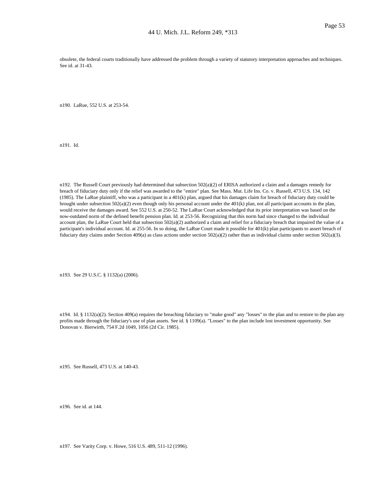obsolete, the federal courts traditionally have addressed the problem through a variety of statutory interpretation approaches and techniques. See id. at 31-43.

n190. LaRue, 552 U.S. at 253-54.

n191. Id.

n192. The Russell Court previously had determined that subsection  $502(a)(2)$  of ERISA authorized a claim and a damages remedy for breach of fiduciary duty only if the relief was awarded to the "entire" plan. See Mass. Mut. Life Ins. Co. v. Russell, 473 U.S. 134, 142 (1985). The LaRue plaintiff, who was a participant in a 401(k) plan, argued that his damages claim for breach of fiduciary duty could be brought under subsection 502(a)(2) even though only his personal account under the 401(k) plan, not all participant accounts in the plan, would receive the damages award. See 552 U.S. at 250-52. The LaRue Court acknowledged that its prior interpretation was based on the now-outdated norm of the defined benefit pension plan. Id. at 253-56. Recognizing that this norm had since changed to the individual account plan, the LaRue Court held that subsection  $502(a)(2)$  authorized a claim and relief for a fiduciary breach that impaired the value of a participant's individual account. Id. at 255-56. In so doing, the LaRue Court made it possible for 401(k) plan participants to assert breach of fiduciary duty claims under Section 409(a) as class actions under section 502(a)(2) rather than as individual claims under section 502(a)(3).

n193. See 29 U.S.C. § 1132(a) (2006).

n194. Id. § 1132(a)(2). Section 409(a) requires the breaching fiduciary to "make good" any "losses" to the plan and to restore to the plan any profits made through the fiduciary's use of plan assets. See id. § 1109(a). "Losses" to the plan include lost investment opportunity. See Donovan v. Bierwirth, 754 F.2d 1049, 1056 (2d Cir. 1985).

n195. See Russell, 473 U.S. at 140-43.

n196. See id. at 144.

n197. See Varity Corp. v. Howe, 516 U.S. 489, 511-12 (1996).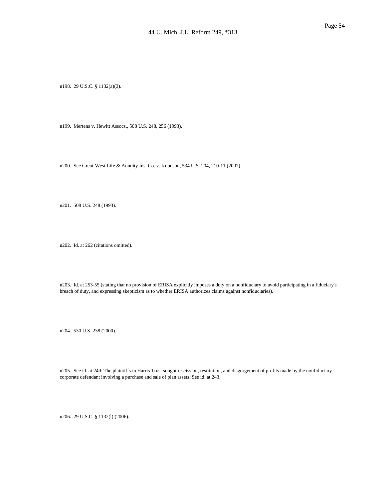n198. 29 U.S.C. § 1132(a)(3).

n199. Mertens v. Hewitt Assocs., 508 U.S. 248, 256 (1993).

n200. See Great-West Life & Annuity Ins. Co. v. Knudson, 534 U.S. 204, 210-11 (2002).

n201. 508 U.S. 248 (1993).

n202. Id. at 262 (citations omitted).

n203. Id. at 253-55 (stating that no provision of ERISA explicitly imposes a duty on a nonfiduciary to avoid participating in a fiduciary's breach of duty, and expressing skepticism as to whether ERISA authorizes claims against nonfiduciaries).

n204. 530 U.S. 238 (2000).

n205. See id. at 249. The plaintiffs in Harris Trust sought rescission, restitution, and disgorgement of profits made by the nonfiduciary corporate defendant involving a purchase and sale of plan assets. See id. at 243.

n206. 29 U.S.C. § 1132(l) (2006).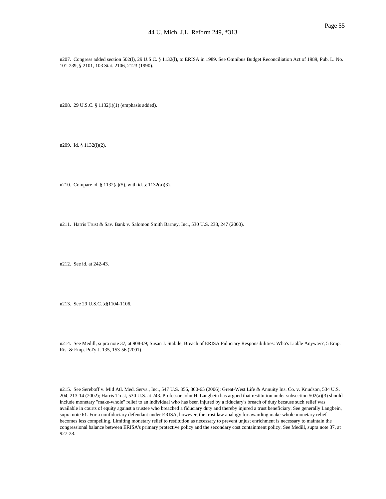n207. Congress added section 502(l), 29 U.S.C. § 1132(l), to ERISA in 1989. See Omnibus Budget Reconciliation Act of 1989, Pub. L. No. 101-239, § 2101, 103 Stat. 2106, 2123 (1990).

n208. 29 U.S.C. § 1132(l)(1) (emphasis added).

n209. Id. § 1132(l)(2).

n210. Compare id. § 1132(a)(5), with id. § 1132(a)(3).

n211. Harris Trust & Sav. Bank v. Salomon Smith Barney, Inc., 530 U.S. 238, 247 (2000).

n212. See id. at 242-43.

n213. See 29 U.S.C. §§1104-1106.

n214. See Medill, supra note 37, at 908-09; Susan J. Stabile, Breach of ERISA Fiduciary Responsibilities: Who's Liable Anyway?, 5 Emp. Rts. & Emp. Pol'y J. 135, 153-56 (2001).

n215. See Sereboff v. Mid Atl. Med. Servs., Inc., 547 U.S. 356, 360-65 (2006); Great-West Life & Annuity Ins. Co. v. Knudson, 534 U.S. 204, 213-14 (2002); Harris Trust, 530 U.S. at 243. Professor John H. Langbein has argued that restitution under subsection 502(a)(3) should include monetary "make-whole" relief to an individual who has been injured by a fiduciary's breach of duty because such relief was available in courts of equity against a trustee who breached a fiduciary duty and thereby injured a trust beneficiary. See generally Langbein, supra note 61. For a nonfiduciary defendant under ERISA, however, the trust law analogy for awarding make-whole monetary relief becomes less compelling. Limiting monetary relief to restitution as necessary to prevent unjust enrichment is necessary to maintain the congressional balance between ERISA's primary protective policy and the secondary cost containment policy. See Medill, supra note 37, at 927-28.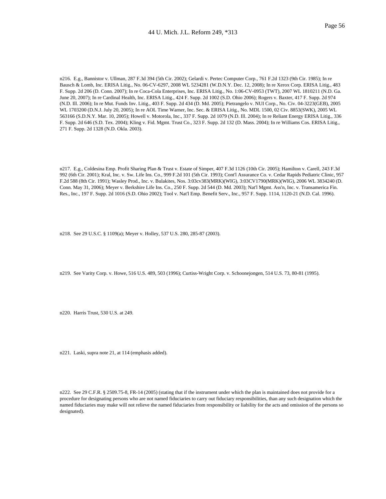n216. E.g., Bannistor v. Ullman, 287 F.3d 394 (5th Cir. 2002); Gelardi v. Pertec Computer Corp., 761 F.2d 1323 (9th Cir. 1985); In re Bausch & Lomb, Inc. ERISA Litig., No. 06-CV-6297, 2008 WL 5234281 (W.D.N.Y. Dec. 12, 2008); In re Xerox Corp. ERISA Litig., 483 F. Supp. 2d 206 (D. Conn. 2007); In re Coca-Cola Enterprises, Inc. ERISA Litig., No. 1:06-CV-0953 (TWT), 2007 WL 1810211 (N.D. Ga. June 20, 2007); In re Cardinal Health, Inc. ERISA Litig., 424 F. Supp. 2d 1002 (S.D. Ohio 2006); Rogers v. Baxter, 417 F. Supp. 2d 974 (N.D. Ill. 2006); In re Mut. Funds Inv. Litig., 403 F. Supp. 2d 434 (D. Md. 2005); Pietrangelo v. NUI Corp., No. Civ. 04-3223(GEB), 2005 WL 1703200 (D.N.J. July 20, 2005); In re AOL Time Warner, Inc. Sec. & ERISA Litig., No. MDL 1500, 02 Civ. 8853(SWK), 2005 WL 563166 (S.D.N.Y. Mar. 10, 2005); Howell v. Motorola, Inc., 337 F. Supp. 2d 1079 (N.D. Ill. 2004); In re Reliant Energy ERISA Litig., 336 F. Supp. 2d 646 (S.D. Tex. 2004); Kling v. Fid. Mgmt. Trust Co., 323 F. Supp. 2d 132 (D. Mass. 2004); In re Williams Cos. ERISA Litig., 271 F. Supp. 2d 1328 (N.D. Okla. 2003).

n217. E.g., Coldesina Emp. Profit Sharing Plan & Trust v. Estate of Simper, 407 F.3d 1126 (10th Cir. 2005); Hamilton v. Carell, 243 F.3d 992 (6th Cir. 2001); Kral, Inc. v. Sw. Life Ins. Co., 999 F.2d 101 (5th Cir. 1993); Cont'l Assurance Co. v. Cedar Rapids Pediatric Clinic, 957 F.2d 588 (8th Cir. 1991); Wasley Prod., Inc. v. Bulakites, Nos. 3:03cv383(MRK)(WIG), 3:03CV1790(MRK)(WIG), 2006 WL 3834240 (D. Conn. May 31, 2006); Meyer v. Berkshire Life Ins. Co., 250 F. Supp. 2d 544 (D. Md. 2003); Nat'l Mgmt. Ass'n, Inc. v. Transamerica Fin. Res., Inc., 197 F. Supp. 2d 1016 (S.D. Ohio 2002); Tool v. Nat'l Emp. Benefit Serv., Inc., 957 F. Supp. 1114, 1120-21 (N.D. Cal. 1996).

n218. See 29 U.S.C. § 1109(a); Meyer v. Holley, 537 U.S. 280, 285-87 (2003).

n219. See Varity Corp. v. Howe, 516 U.S. 489, 503 (1996); Curtiss-Wright Corp. v. Schoonejongen, 514 U.S. 73, 80-81 (1995).

n220. Harris Trust, 530 U.S. at 249.

n221. Laski, supra note 21, at 114 (emphasis added).

n222. See 29 C.F.R. § 2509.75-8, FR-14 (2005) (stating that if the instrument under which the plan is maintained does not provide for a procedure for designating persons who are not named fiduciaries to carry out fiduciary responsibilities, than any such designation which the named fiduciaries may make will not relieve the named fiduciaries from responsibility or liability for the acts and omission of the persons so designated).